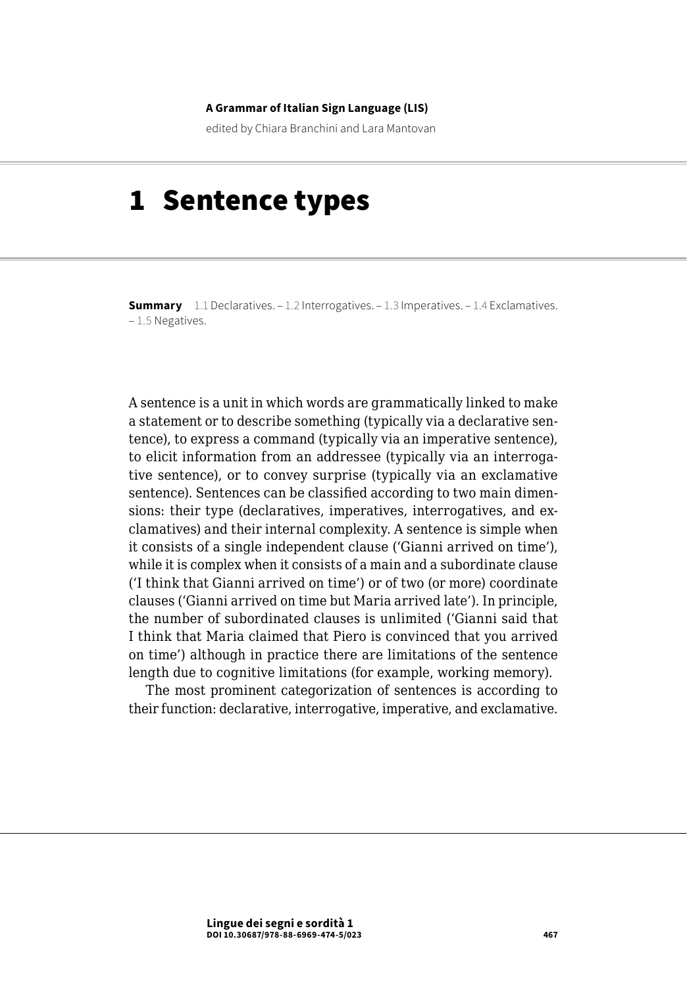#### **A Grammar of Italian Sign Language (LIS)**

edited by Chiara Branchini and Lara Mantovan

# 1 Sentence types

**Summary** [1.1 Declaratives](#page-1-0). [– 1.2 Interrogatives](#page-2-0)[. – 1.3 Imperatives](#page-12-0). – [1.4 Exclamatives.](#page-20-0) – [1.5 Negatives.](#page-23-0)

A sentence is a unit in which words are grammatically linked to make a statement or to describe something (typically via a declarative sentence), to express a command (typically via an imperative sentence), to elicit information from an addressee (typically via an interrogative sentence), or to convey surprise (typically via an exclamative sentence). Sentences can be classified according to two main dimensions: their type (declaratives, imperatives, interrogatives, and exclamatives) and their internal complexity. A sentence is simple when it consists of a single independent clause ('Gianni arrived on time'), while it is complex when it consists of a main and a subordinate clause ('I think that Gianni arrived on time') or of two (or more) coordinate clauses ('Gianni arrived on time but Maria arrived late'). In principle, the number of subordinated clauses is unlimited ('Gianni said that I think that Maria claimed that Piero is convinced that you arrived on time') although in practice there are limitations of the sentence length due to cognitive limitations (for example, working memory).

The most prominent categorization of sentences is according to their function: declarative, interrogative, imperative, and exclamative.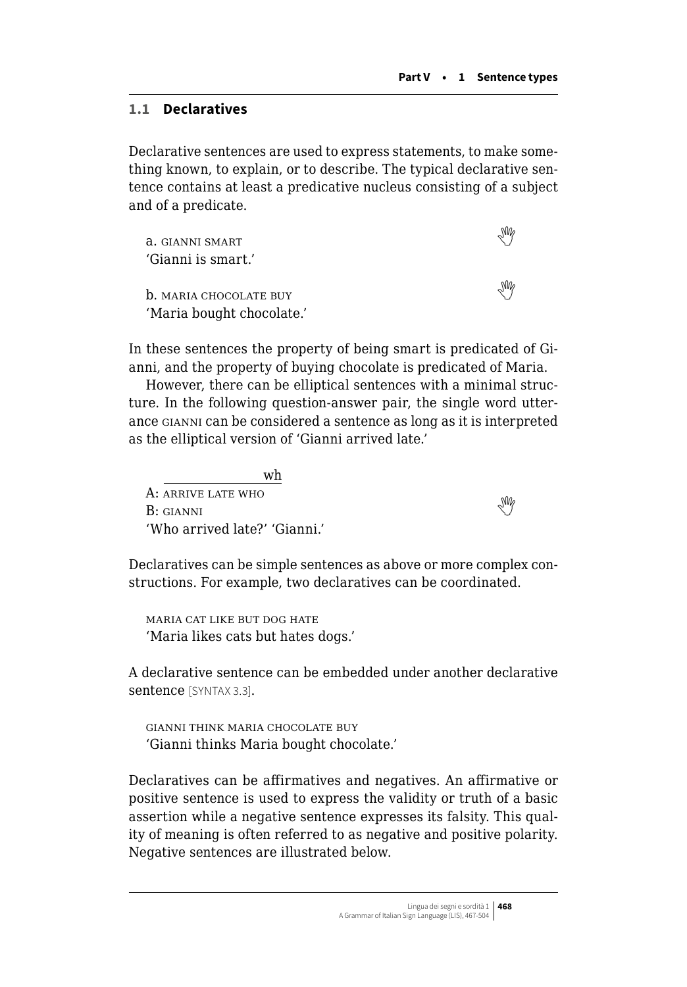# <span id="page-1-0"></span>**1.1 Declaratives**

Declarative sentences are used to express statements, to make something known, to explain, or to describe. The typical declarative sentence contains at least a predicative nucleus consisting of a subject and of a predicate.

| a. GIANNI SMART               |  |
|-------------------------------|--|
| 'Gianni is smart.'            |  |
| <b>b.</b> MARIA CHOCOLATE BUY |  |
| 'Maria bought chocolate.'     |  |

In these sentences the property of being smart is predicated of Gianni, and the property of buying chocolate is predicated of Maria.

However, there can be elliptical sentences with a minimal structure. In the following question-answer pair, the single word utterance gianni can be considered a sentence as long as it is interpreted as the elliptical version of 'Gianni arrived late.'

wh A: arrive late who  $B:$ giannized the whole state who  $\mathcal{M}$ 'Who arrived late?' 'Gianni.'

Declaratives can be simple sentences as above or more complex constructions. For example, two declaratives can be coordinated.

maria cat like but dog hate 'Maria likes cats but hates dogs.'

A declarative sentence can be embedded under another declarative sentence [SYNTAX 3.3].

gianni think maria chocolate buy 'Gianni thinks Maria bought chocolate.'

Declaratives can be affirmatives and negatives. An affirmative or positive sentence is used to express the validity or truth of a basic assertion while a negative sentence expresses its falsity. This quality of meaning is often referred to as negative and positive polarity. Negative sentences are illustrated below.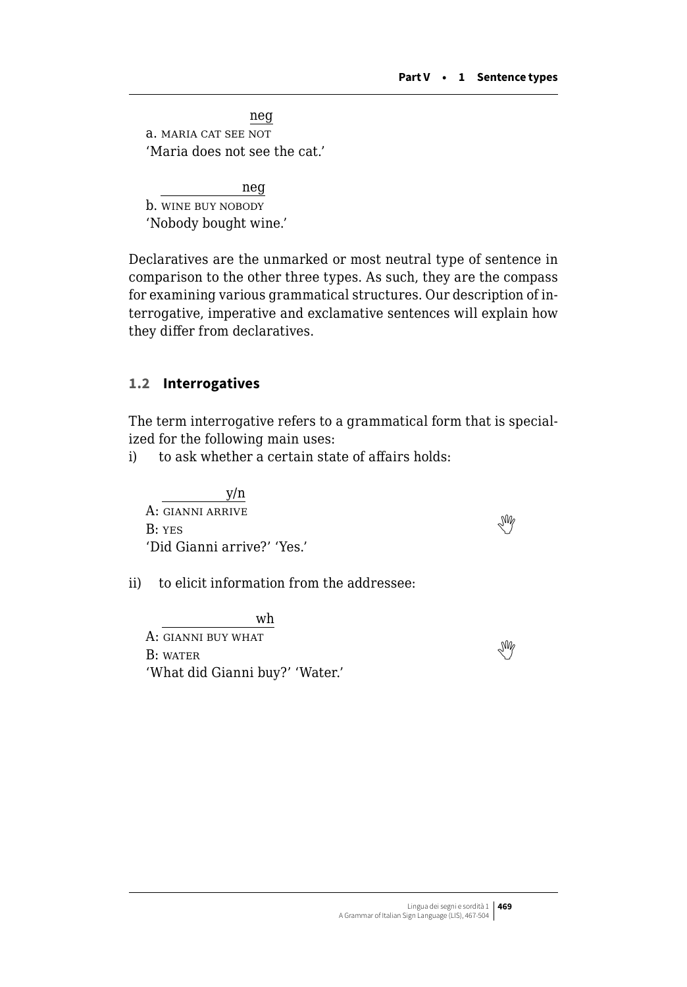<span id="page-2-0"></span>neg a. maria cat see not 'Maria does not see the cat.'

neg b. wine buy nobody 'Nobody bought wine.'

Declaratives are the unmarked or most neutral type of sentence in comparison to the other three types. As such, they are the compass for examining various grammatical structures. Our description of interrogative, imperative and exclamative sentences will explain how they differ from declaratives.

# **1.2 Interrogatives**

The term interrogative refers to a grammatical form that is specialized for the following main uses:

i) to ask whether a certain state of affairs holds:

 y/n A: gianni arrive  $B: YES$  $B: YES$  $B: YES$   $W$ 'Did Gianni arrive?' 'Yes.'

ii) to elicit information from the addressee:

wh A: gianni buy what  $B: \text{WATE}$  $B: \text{WATE}$  $B: \text{WATE}$  With  $\mathbb{W}$ 'What did Gianni buy?' 'Water.'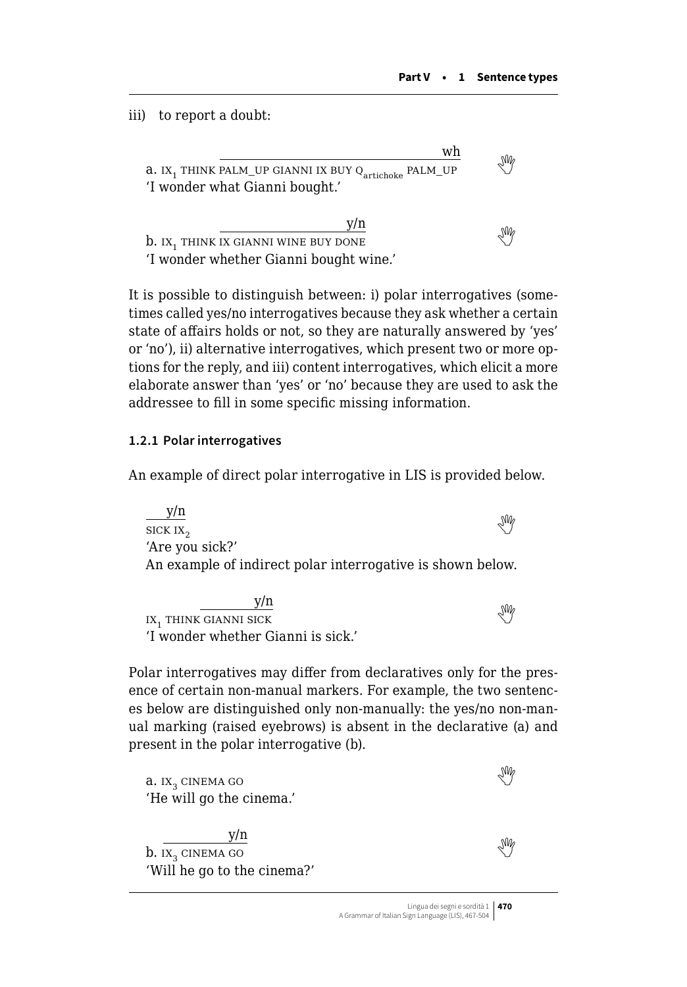iii) to report a doubt:

wh a. IX<sub>1</sub> THINK PALM\_UP GIANNI IX BUY Q<sub>artichoke</sub> PALM\_UP 'I wonder what Gianni bought.'

y/n b.ix<sub>1</sub> think ix gianni wine buy done 'I wonder whether Gianni bought wine.'

It is possible to distinguish between: i) polar interrogatives (sometimes called yes/no interrogatives because they ask whether a certain state of affairs holds or not, so they are naturally answered by 'yes' or 'no'), ii) alternative interrogatives, which present two or more options for the reply, and iii) content interrogatives, which elicit a more elaborate answer than 'yes' or 'no' because they are used to ask the addressee to fill in some specific missing information.

#### **1.2.1 Polar interrogatives**

An example of direct polar interrogative in LIS is provided below.

y/n  $\frac{3\pi}{\pi}$ sick ix<sub>2</sub> 'Are you sick?' An example of indirect polar interrogative is shown below.

y/n  $\frac{y_{th}}{y_{th}}$ <br>IX,THINK GIANNI SICK 'I wonder whether Gianni is sick.'

Polar interrogatives may differ from declaratives only for the presence of certain non-manual markers. For example, the two sentences below are distinguished only non-manually: the yes/no non-manual marking (raised eyebrows) is absent in the declarative (a) and present in the polar interrogative (b).

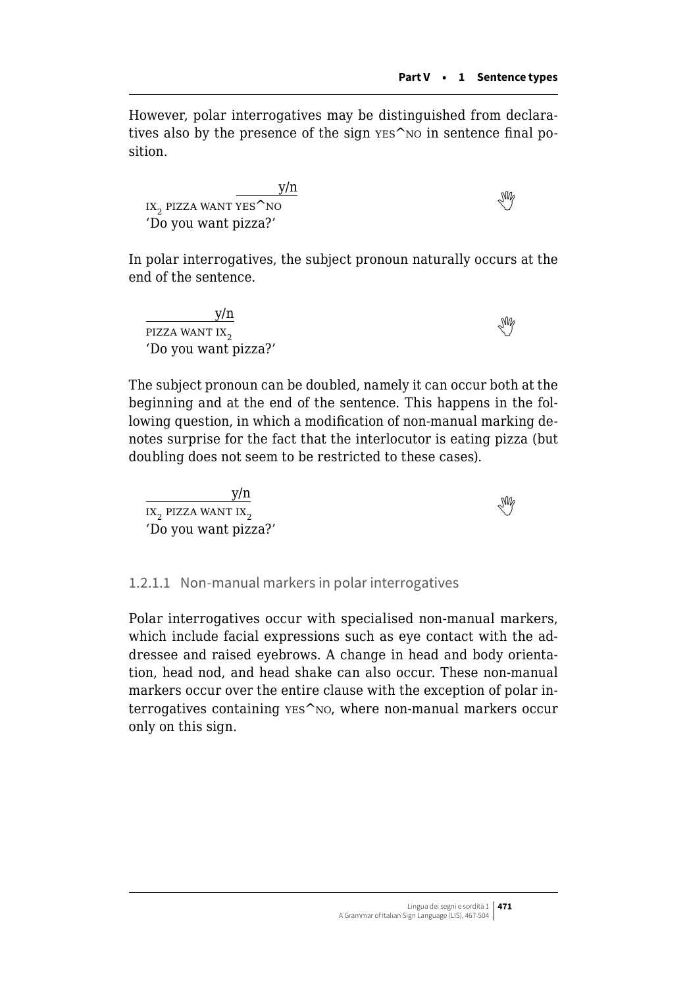However, polar interrogatives may be distinguished from declaratives also by the presence of the sign yes<sup> $\sim$ </sup>NO in sentence final position.

 $\frac{y/n}{x_2}$ pizza want yes^no 'Do you want pizza?'

In polar interrogatives, the subject pronoun naturally occurs at the end of the sentence.

 $\frac{y/n}{x_2}$ 'Do you want pizza?'

The subject pronoun can be doubled, namely it can occur both at the beginning and at the end of the sentence. This happens in the following question, in which a modification of non-manual marking denotes surprise for the fact that the interlocutor is eating pizza (but doubling does not seem to be restricted to these cases).

 $\frac{y/n}{11}$ <br> $\frac{y/n}{2}$ 'Do you want pizza?'

#### 1.2.1.1 Non-manual markers in polar interrogatives

Polar interrogatives occur with specialised non-manual markers, which include facial expressions such as eye contact with the addressee and raised eyebrows. A change in head and body orientation, head nod, and head shake can also occur. These non-manual markers occur over the entire clause with the exception of polar interrogatives containing yes^no, where non-manual markers occur only on this sign.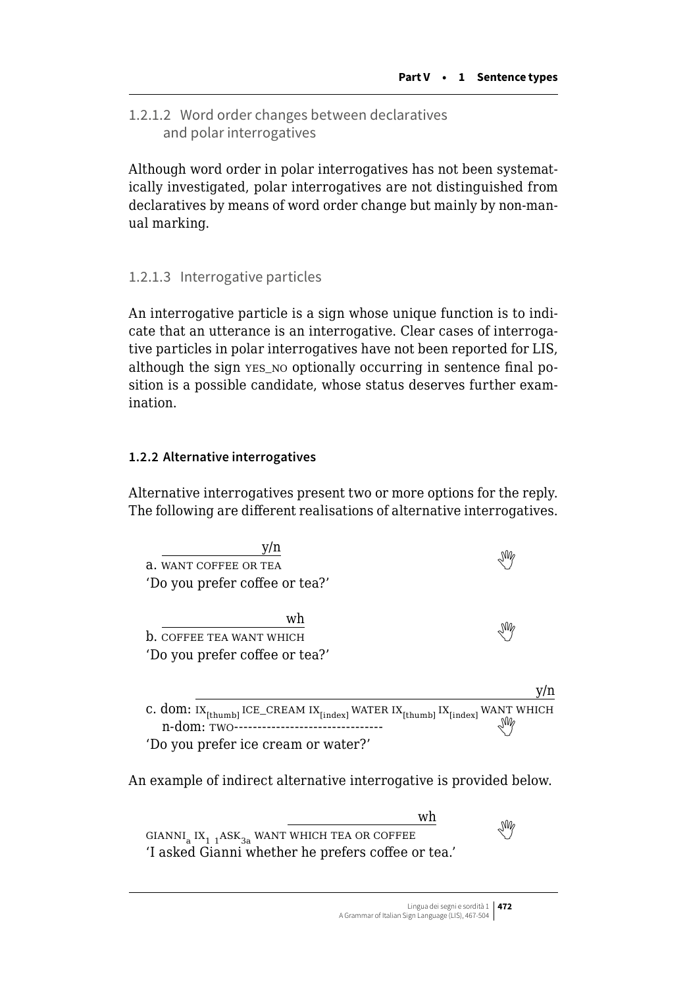1.2.1.2 Word order changes between declaratives and polar interrogatives

Although word order in polar interrogatives has not been systematically investigated, polar interrogatives are not distinguished from declaratives by means of word order change but mainly by non-manual marking.

# 1.2.1.3 Interrogative particles

An interrogative particle is a sign whose unique function is to indicate that an utterance is an interrogative. Clear cases of interrogative particles in polar interrogatives have not been reported for LIS, although the sign yes no optionally occurring in sentence final position is a possible candidate, whose status deserves further examination.

#### **1.2.2 Alternative interrogatives**

Alternative interrogatives present two or more options for the reply. The following are different realisations of alternative interrogatives.



An example of indirect alternative interrogative is provided below.

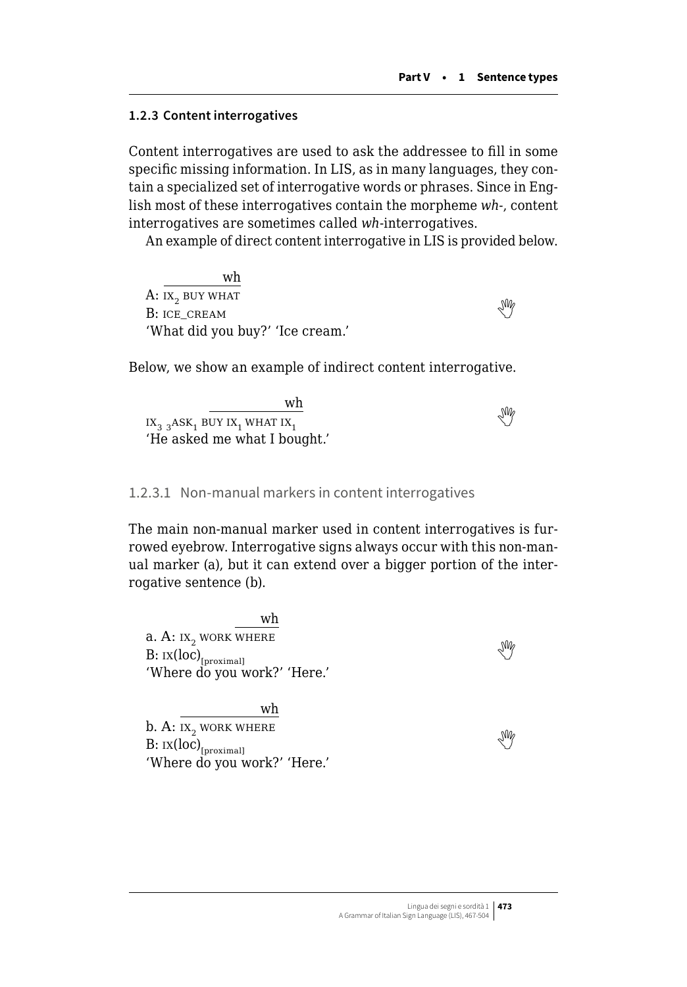#### **1.2.3 Content interrogatives**

Content interrogatives are used to ask the addressee to fill in some specific missing information. In LIS, as in many languages, they contain a specialized set of interrogative words or phrases. Since in English most of these interrogatives contain the morpheme *wh-*, content interrogatives are sometimes called *wh*-interrogatives.

An example of direct content interrogative in LIS is provided below.

wh A:  $IX_2$  buy what  $B:$ ice\_cream  $\mathbb{S}^n$ . 'What did you buy?' 'Ice cream.'

Below, we show an example of indirect content interrogative.

wh  $\frac{1}{1}$ ix<sub>2 3</sub>ASK<sub>1</sub> buy ix<sub>1</sub> what ix<sub>1</sub> what ix<sub>1</sub> what ix<sub>1</sub> and intervalse  $\frac{1}{1}$ 'He asked me what I bought.'

#### 1.2.3.1 Non-manual markers in content interrogatives

The main non-manual marker used in content interrogatives is furrowed eyebrow. Interrogative signs always occur with this non-manual marker (a), but it can extend over a bigger portion of the interrogative sentence (b).

wh a. A:  $ix_2$  work where  $B: \text{IX}(\text{loc})_{\text{foroximal}}$  $B: \text{IX}(\text{loc})_{\text{foroximal}}$  $B: \text{IX}(\text{loc})_{\text{foroximal}}$ 'Where do you work?' 'Here.'

wh  $b. A: IX<sub>2</sub> WORK WHERE$  $B: \text{IX}(\text{loc})_{\text{[proximal]}}$  $B: \text{IX}(\text{loc})_{\text{[proximal]}}$  $B: \text{IX}(\text{loc})_{\text{[proximal]}}$ 'Where do you work?' 'Here.'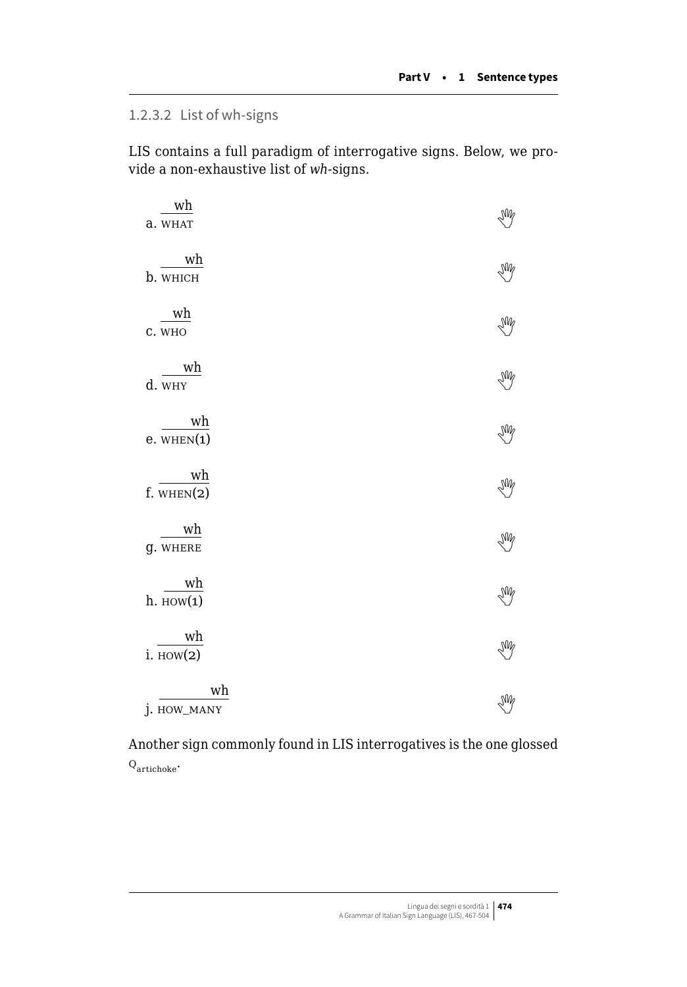# 1.2.3.2 List of wh-signs

LIS contains a full paradigm of interrogative signs. Below, we provide a non-exhaustive list of *wh-*signs.

| wh<br>a. WHAT         | Ng |
|-----------------------|----|
| wh<br>b. WHICH        | Y  |
| wh<br>C. WHO          | Y  |
| wh<br>d. WHY          | Y  |
| wh<br>$e.$ WHEN $(1)$ | Y  |
| wh<br>$f.$ WHEN $(2)$ | Y  |
| wh<br><b>g. WHERE</b> | Y  |
| wh<br>$h.$ HOW $(1)$  | Y  |
| wh<br>$i.$ HOW $(2)$  | Ng |
| wh<br>j. HOW_MANY     | Ng |

Another sign commonly found in LIS interrogatives is the one glossed  $Q_{\text{article}}$ .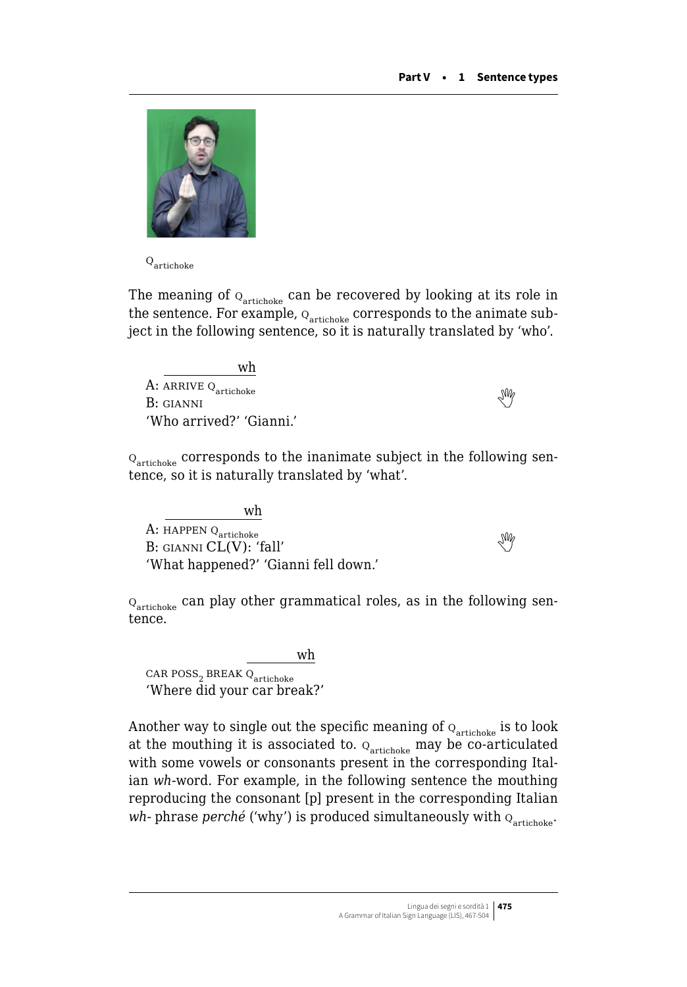

 $\mathbf{Q}_{\text{article}}$ 

The meaning of  $Q<sub>artichoke</sub>$  can be recovered by looking at its role in the sentence. For example,  $Q_{\text{article}}$  corresponds to the animate subject in the following sentence, so it is naturally translated by 'who'.

wh A:arrive q<sub>artichoke</sub><br>B: gianni 'Who arrived?' 'Gianni.'

 $\mathbf{Q}_{\text{article}}$  corresponds to the inanimate subject in the following sentence, so it is naturally translated by 'what'.

wh A: HAPPEN Q<sub>artichoke</sub>  $B:$ GIANNI  $CL(V):$  'fall' 'What happened?' 'Gianni fell down.'

 $Q<sub>artichoke</sub>$  can play other grammatical roles, as in the following sentence.

wh  $CAR$   $Poss_2$   $BREAK$   $Q_{\text{article}}$ 'Where did your car break?'

Another way to single out the specific meaning of  $\textbf{q}_{\text{article}}$  is to look at the mouthing it is associated to.  $Q_{\text{article}}$  may be co-articulated with some vowels or consonants present in the corresponding Italian *wh*-word. For example, in the following sentence the mouthing reproducing the consonant [p] present in the corresponding Italian *wh*- phrase *perché* ('why') is produced simultaneously with  $Q_{\text{artichole}}$ .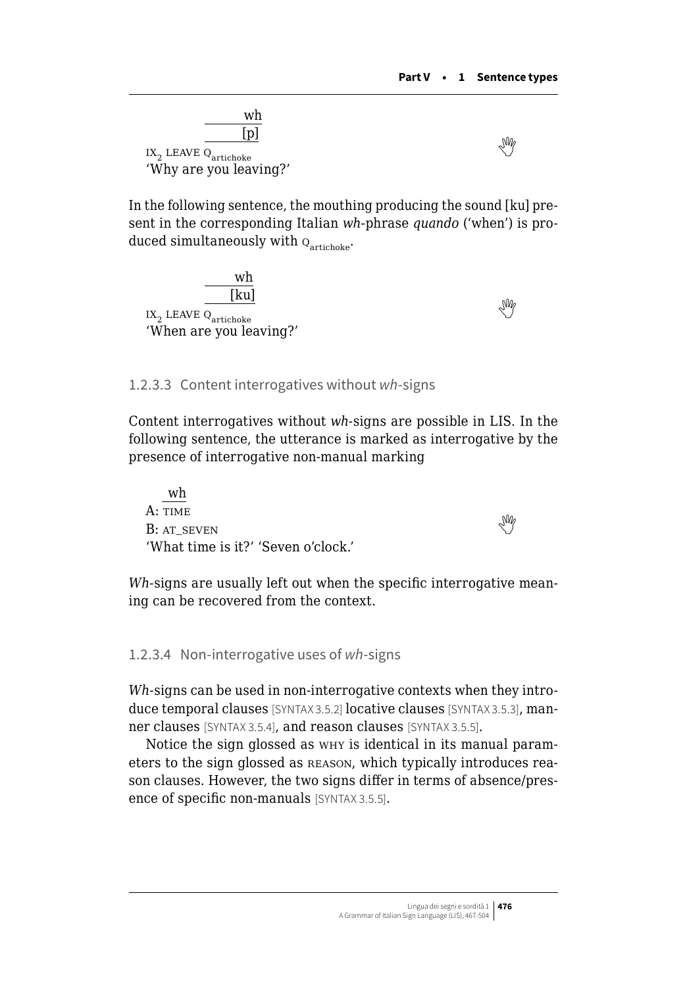

In the following sentence, the mouthing producing the sound [ku] present in the corresponding Italian *wh*-phrase *quando* ('when') is produced simultaneously with  $Q_{\text{article}}$ .



#### 1.2.3.3 Content interrogatives without *wh*-signs

Content interrogatives without *wh-*signs are possible in LIS. In the following sentence, the utterance is marked as interrogative by the presence of interrogative non-manual marking

wh A: TIME  $B: AT$  seven  $\mathbb{R}^n$ 'What time is it?' 'Seven o'clock.'

*Wh-*signs are usually left out when the specific interrogative meaning can be recovered from the context.

#### 1.2.3.4 Non-interrogative uses of *wh*-signs

*Wh-*signs can be used in non-interrogative contexts when they introduce temporal clauses [SYNTAX 3.5.2] locative clauses [SYNTAX 3.5.3], manner clauses [SYNTAX 3.5.4], and reason clauses [SYNTAX 3.5.5].

Notice the sign glossed as why is identical in its manual parameters to the sign glossed as reason, which typically introduces reason clauses. However, the two signs differ in terms of absence/presence of specific non-manuals [SYNTAX 3.5.5].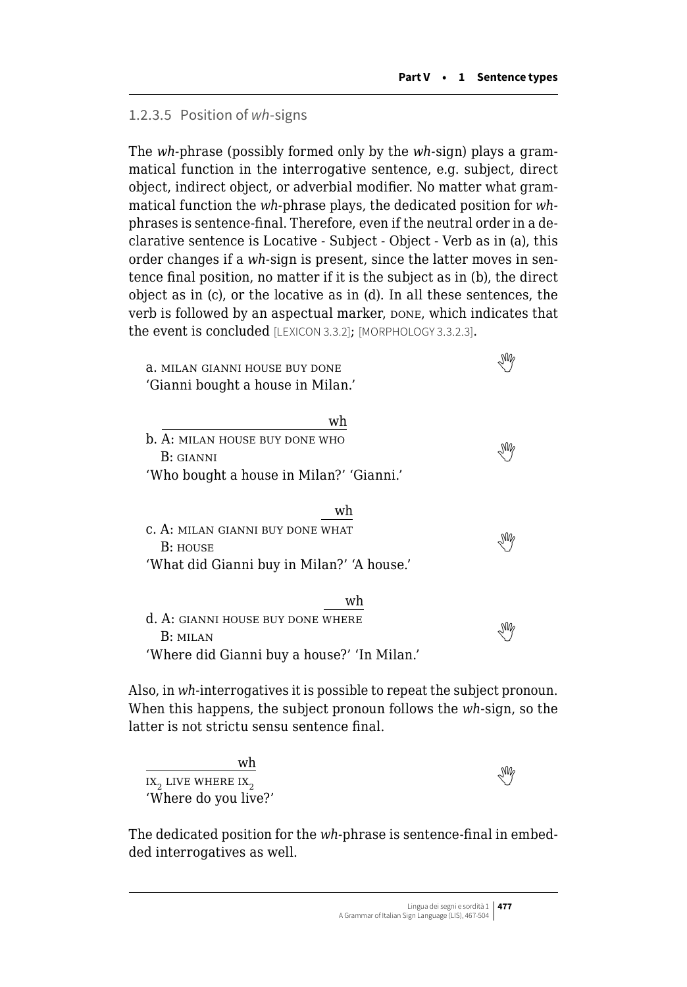#### 1.2.3.5 Position of *wh*-signs

The *wh-*phrase (possibly formed only by the *wh-*sign) plays a grammatical function in the interrogative sentence, e.g. subject, direct object, indirect object, or adverbial modifier. No matter what grammatical function the *wh-*phrase plays, the dedicated position for *wh*phrases is sentence-final. Therefore, even if the neutral order in a declarative sentence is Locative - Subject - Object - Verb as in (a), this order changes if a *wh-*sign is present, since the latter moves in sentence final position, no matter if it is the subject as in (b), the direct object as in (c), or the locative as in (d). In all these sentences, the verb is followed by an aspectual marker, DONE, which indicates that the event is concluded [LEXICON 3.3.2]; [MORPHOLOGY 3.3.2.3].

a. milan gianni house buy done  'Gianni bought a house in Milan.'

| wh                                       |      |
|------------------------------------------|------|
| <b>b.</b> A: MILAN HOUSE BUY DONE WHO    |      |
| B: GIANNI                                | Ng   |
| 'Who bought a house in Milan?' 'Gianni.' |      |
|                                          |      |
| wh                                       |      |
| C. A: MILAN GIANNI BUY DONE WHAT         | nnn. |

| G. A. MILAN GIANNI DU I DONE WIIAI         |    |
|--------------------------------------------|----|
| <b>B</b> : HOUSE                           | УŴ |
| 'What did Gianni buy in Milan?' 'A house.' |    |

|                                             | wh |
|---------------------------------------------|----|
| d. A: GIANNI HOUSE BUY DONE WHERE           |    |
| B: MILAN                                    | УŴ |
| 'Where did Gianni buy a house?' 'In Milan.' |    |

Also, in *wh-*interrogatives it is possible to repeat the subject pronoun. When this happens, the subject pronoun follows the *wh-*sign, so the latter is not strictu sensu sentence final.

wh  $\frac{1}{\text{ax}}$ live where  $\text{ax}$ 'Where do you live?'

The dedicated position for the *wh-*phrase is sentence-final in embedded interrogatives as well.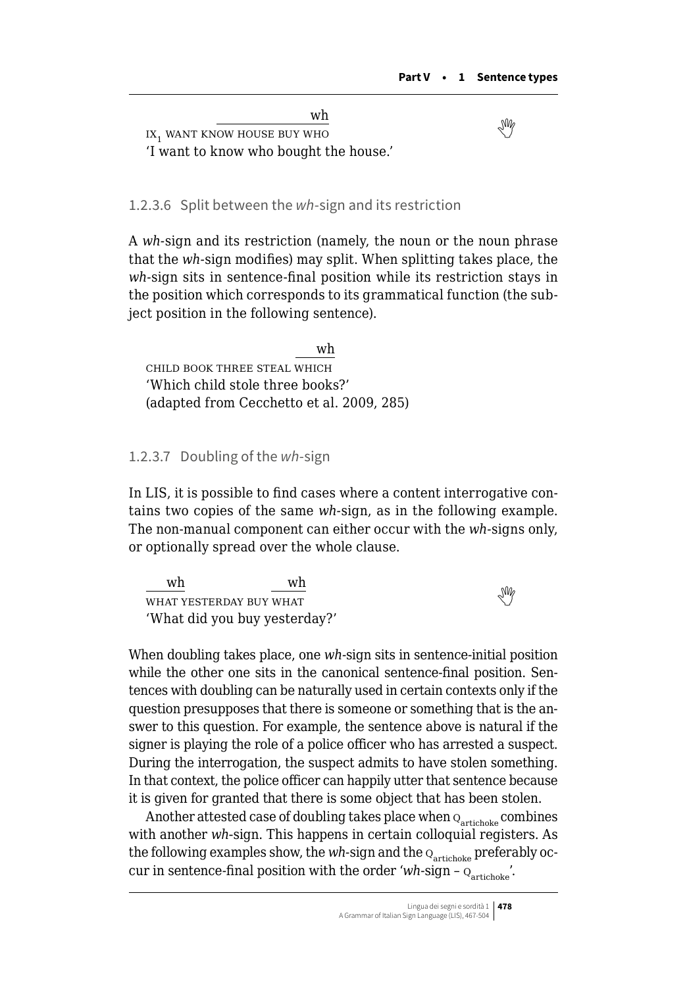wh  $\overline{\text{IN}}$ ix, want know house buy who 'I want to know who bought the house.'

1.2.3.6 Split between the *wh*-sign and its restriction

A *wh-*sign and its restriction (namely, the noun or the noun phrase that the *wh-*sign modifies) may split. When splitting takes place, the *wh-*sign sits in sentence-final position while its restriction stays in the position which corresponds to its grammatical function (the subject position in the following sentence).

wh child book three steal which 'Which child stole three books?' (adapted from Cecchetto et al. 2009, 285)

#### 1.2.3.7 Doubling of the *wh*-sign

In LIS, it is possible to find cases where a content interrogative contains two copies of the same *wh-*sign, as in the following example. The non-manual component can either occur with the *wh-*signs only, or optionally spread over the whole clause.

wh wh  $\frac{m}{\sqrt{m}}$ what yesterday buy what 'What did you buy yesterday?'

When doubling takes place, one *wh-*sign sits in sentence-initial position while the other one sits in the canonical sentence-final position. Sentences with doubling can be naturally used in certain contexts only if the question presupposes that there is someone or something that is the answer to this question. For example, the sentence above is natural if the signer is playing the role of a police officer who has arrested a suspect. During the interrogation, the suspect admits to have stolen something. In that context, the police officer can happily utter that sentence because it is given for granted that there is some object that has been stolen.

Another attested case of doubling takes place when  $Q<sub>artichoke</sub>$  combines with another *wh*-sign. This happens in certain colloquial registers. As the following examples show, the  $wh\text{-}\mathrm{sign}$  and the  $\textup{o}_{\mathrm{article}}$  preferably occur in sentence-final position with the order ' $wh$ -sign –  $Q<sub>artichole</sub>'$ .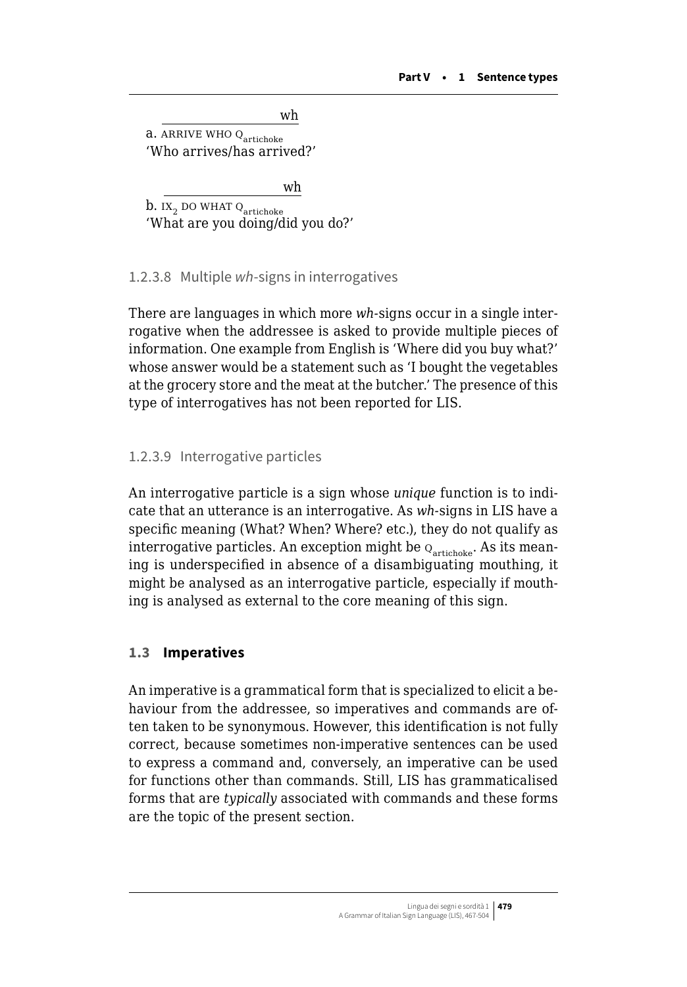wh

<span id="page-12-0"></span>a. ARRIVE WHO Q<sub>artichoke</sub> 'Who arrives/has arrived?'

wh

b. ix<sub>2</sub> do what  $Q_{\text{article}}$ 'What are you doing/did you do?'

#### 1.2.3.8 Multiple *wh*-signs in interrogatives

There are languages in which more *wh-*signs occur in a single interrogative when the addressee is asked to provide multiple pieces of information. One example from English is 'Where did you buy what?' whose answer would be a statement such as 'I bought the vegetables at the grocery store and the meat at the butcher.' The presence of this type of interrogatives has not been reported for LIS.

#### 1.2.3.9 Interrogative particles

An interrogative particle is a sign whose *unique* function is to indicate that an utterance is an interrogative. As *wh-*signs in LIS have a specific meaning (What? When? Where? etc.), they do not qualify as interrogative particles. An exception might be  $Q_{\text{article}}$ . As its meaning is underspecified in absence of a disambiguating mouthing, it might be analysed as an interrogative particle, especially if mouthing is analysed as external to the core meaning of this sign.

#### **1.3 Imperatives**

An imperative is a grammatical form that is specialized to elicit a behaviour from the addressee, so imperatives and commands are often taken to be synonymous. However, this identification is not fully correct, because sometimes non-imperative sentences can be used to express a command and, conversely, an imperative can be used for functions other than commands. Still, LIS has grammaticalised forms that are *typically* associated with commands and these forms are the topic of the present section.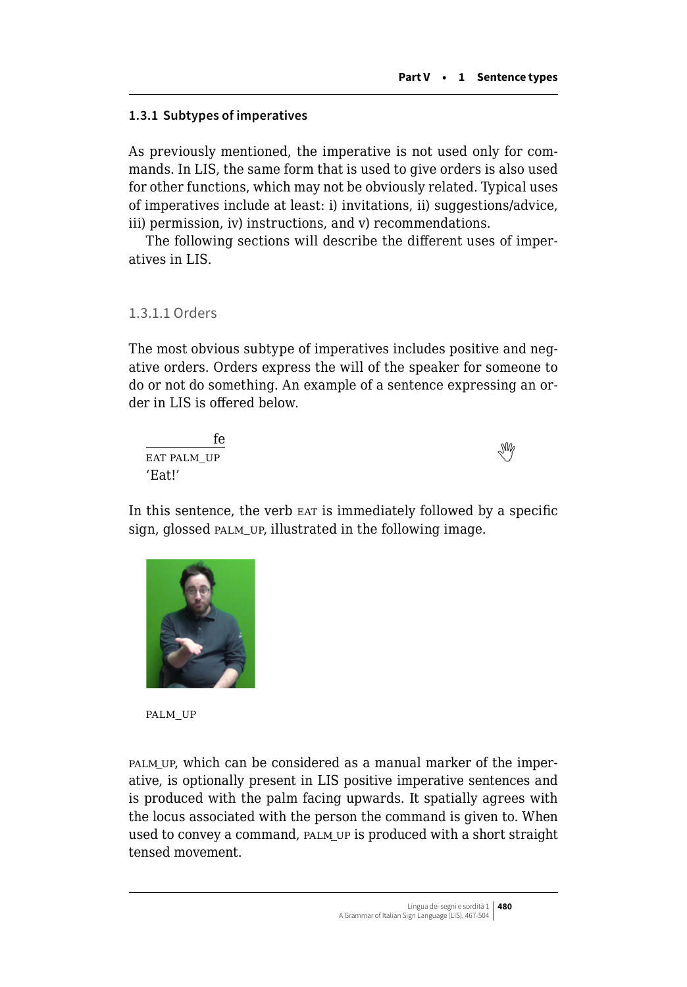# **1.3.1 Subtypes of imperatives**

As previously mentioned, the imperative is not used only for commands. In LIS, the same form that is used to give orders is also used for other functions, which may not be obviously related. Typical uses of imperatives include at least: i) invitations, ii) suggestions/advice, iii) permission, iv) instructions, and v) recommendations.

The following sections will describe the different uses of imperatives in LIS.

#### 1.3.1.1 Orders

The most obvious subtype of imperatives includes positive and negative orders. Orders express the will of the speaker for someone to do or not do something. An example of a sentence expressing an order in LIS is offered below.

| fe          | M |
|-------------|---|
| EAT PALM_UP |   |
| 'Eat!'      |   |

In this sentence, the verb EAT is immediately followed by a specific sign, glossed PALM UP, illustrated in the following image.



palm\_up

palm\_up, which can be considered as a manual marker of the imperative, is optionally present in LIS positive imperative sentences and is produced with the palm facing upwards. It spatially agrees with the locus associated with the person the command is given to. When used to convey a command, PALM UP is produced with a short straight tensed movement.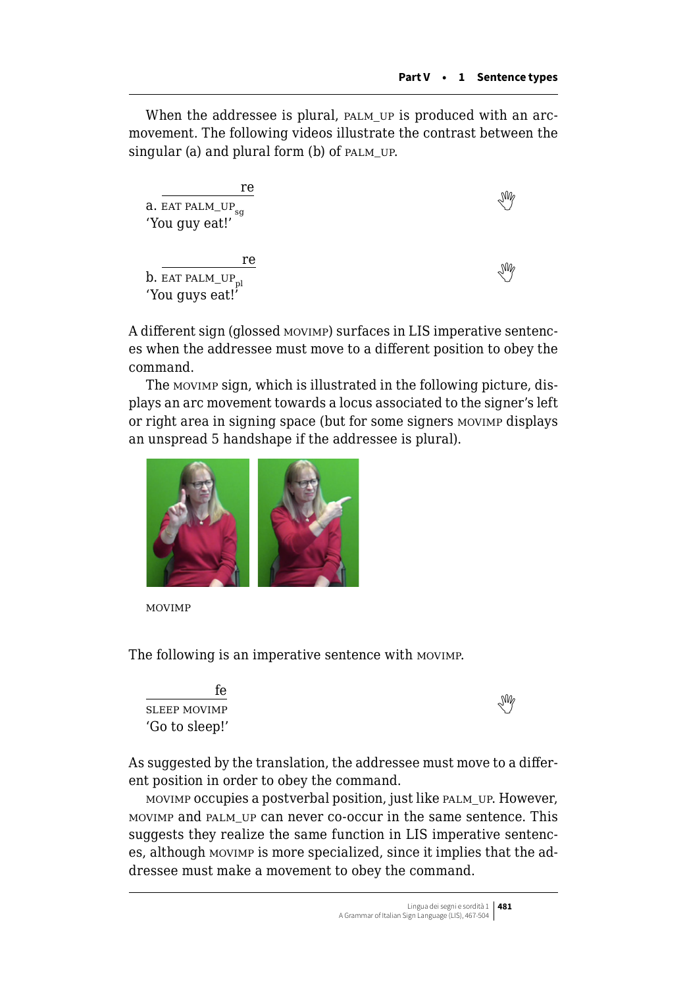When the addressee is plural, PALM\_UP is produced with an arcmovement. The following videos illustrate the contrast between the singular (a) and plural form (b) of  $PALM_U$ .

| re<br>a. EAT PALM_UP <sub>sq</sub><br>'You guy eat!'      |  |
|-----------------------------------------------------------|--|
| re<br>$\rm b.$ EAT PALM_UP $_{\rm pl}$<br>'You guys eat!' |  |

A different sign (glossed movimp) surfaces in LIS imperative sentences when the addressee must move to a different position to obey the command.

The movimp sign, which is illustrated in the following picture, displays an arc movement towards a locus associated to the signer's left or right area in signing space (but for some signers movimp displays an unspread 5 handshape if the addressee is plural).



movimp

The following is an imperative sentence with movimp.

| tе             | $\mathbb{W}_{e}$ |
|----------------|------------------|
| SLEEP MOVIMP   |                  |
| 'Go to sleep!' |                  |



As suggested by the translation, the addressee must move to a different position in order to obey the command.

movimp occupies a postverbal position, just like palm\_up. However, movimp and palm\_up can never co-occur in the same sentence. This suggests they realize the same function in LIS imperative sentences, although movimp is more specialized, since it implies that the addressee must make a movement to obey the command.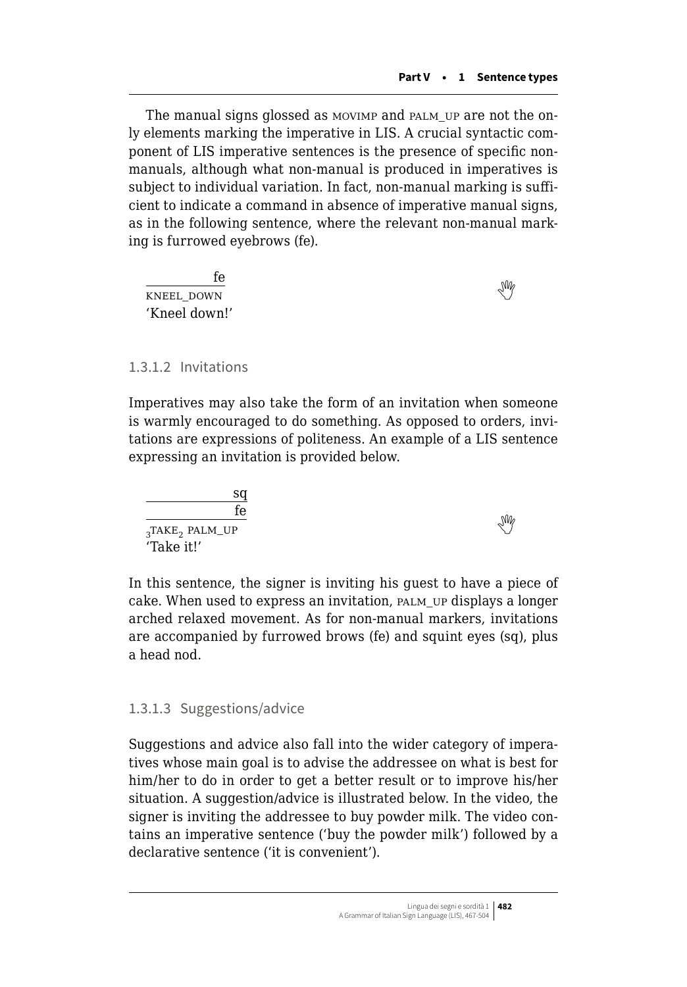The manual signs glossed as movimp and palm\_up are not the only elements marking the imperative in LIS. A crucial syntactic component of LIS imperative sentences is the presence of specific nonmanuals, although what non-manual is produced in imperatives is subject to individual variation. In fact, non-manual marking is sufficient to indicate a command in absence of imperative manual signs, as in the following sentence, where the relevant non-manual marking is furrowed eyebrows (fe).

fe  $\frac{10}{\sqrt{M}}$ 'Kneel down!'

1.3.1.2 Invitations

Imperatives may also take the form of an invitation when someone is warmly encouraged to do something. As opposed to orders, invitations are expressions of politeness. An example of a LIS sentence expressing an invitation is provided below.

sq fe  $\frac{10}{3}$ TAKE<sub>2</sub>PALM\_UP 'Take it!'

In this sentence, the signer is inviting his guest to have a piece of cake. When used to express an invitation, palm\_up displays a longer arched relaxed movement. As for non-manual markers, invitations are accompanied by furrowed brows (fe) and squint eyes (sq), plus a head nod.

# 1.3.1.3 Suggestions/advice

Suggestions and advice also fall into the wider category of imperatives whose main goal is to advise the addressee on what is best for him/her to do in order to get a better result or to improve his/her situation. A suggestion/advice is illustrated below. In the video, the signer is inviting the addressee to buy powder milk. The video contains an imperative sentence ('buy the powder milk') followed by a declarative sentence ('it is convenient').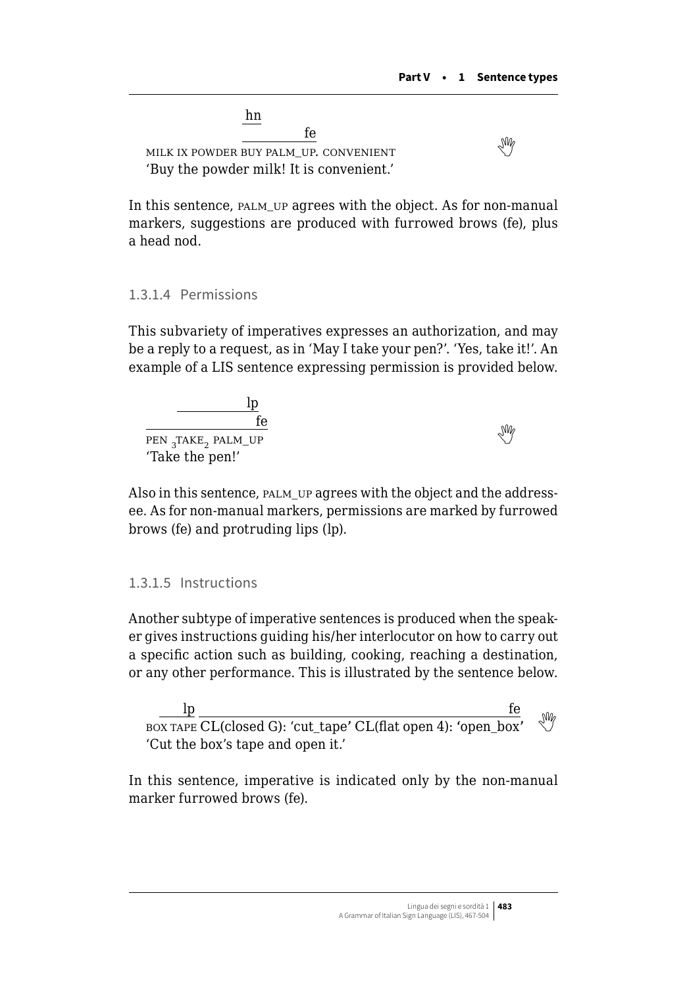hn fe milkix powder buy palm up. convenient 'Buy the powder milk! It is convenient.'

In this sentence, palm\_up agrees with the object. As for non-manual markers, suggestions are produced with furrowed brows (fe), plus a head nod.

#### 1.3.1.4 Permissions

This subvariety of imperatives expresses an authorization, and may be a reply to a request, as in 'May I take your pen?'. 'Yes, take it!'. An example of a LIS sentence expressing permission is provided below.

| ŤΑ                                         |            |
|--------------------------------------------|------------|
| PEN <sub>3</sub> TAKE <sub>2</sub> PALM_UP | $\sqrt{M}$ |
| 'Take the pen!'                            |            |

Also in this sentence, palm\_up agrees with the object and the addressee. As for non-manual markers, permissions are marked by furrowed brows (fe) and protruding lips (lp).

#### 1.3.1.5 Instructions

Another subtype of imperative sentences is produced when the speaker gives instructions guiding his/her interlocutor on how to carry out a specific action such as building, cooking, reaching a destination, or any other performance. This is illustrated by the sentence below.

lp fe box tape CL(closed G): 'cut\_tape' CL(flat open 4): 'open\_box' 'Cut the box's tape and open it.'

In this sentence, imperative is indicated only by the non-manual marker furrowed brows (fe).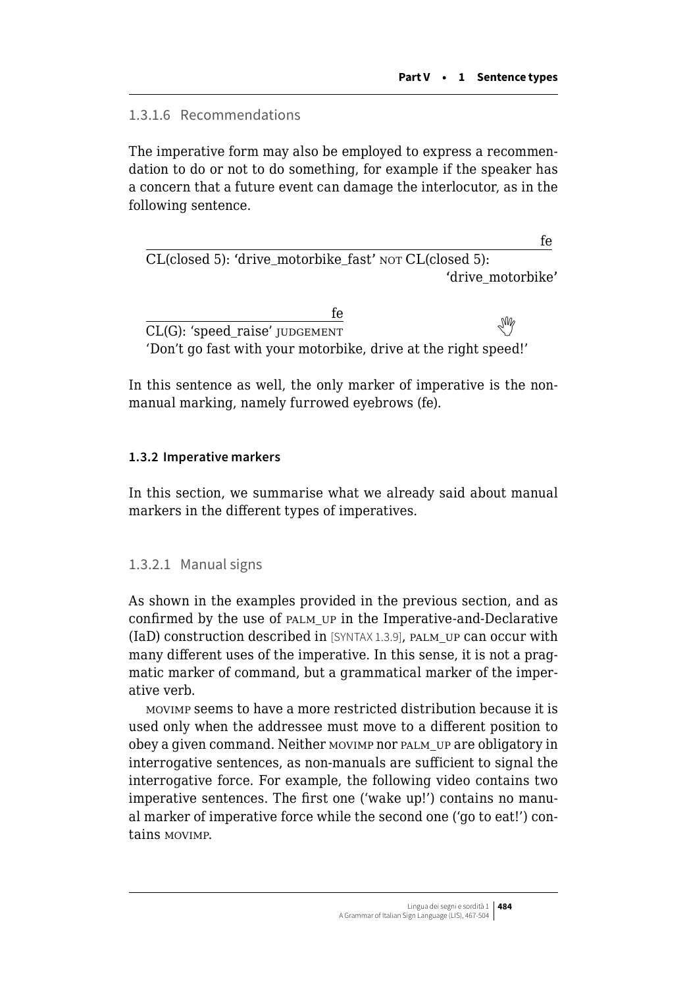1.3.1.6 Recommendations

The imperative form may also be employed to express a recommendation to do or not to do something, for example if the speaker has a concern that a future event can damage the interlocutor, as in the following sentence.

fe CL(closed 5): 'drive\_motorbike\_fast' NOT CL(closed 5): 'drive\_motorbike'

fe  $\overline{\text{CL}(G)}$ :'speed\_raise' judgement 'Don't go fast with your motorbike, drive at the right speed!'

In this sentence as well, the only marker of imperative is the nonmanual marking, namely furrowed eyebrows (fe).

# **1.3.2 Imperative markers**

In this section, we summarise what we already said about manual markers in the different types of imperatives.

# 1.3.2.1 Manual signs

As shown in the examples provided in the previous section, and as confirmed by the use of palm\_up in the Imperative-and-Declarative (IaD) construction described in [SYNTAX 1.3.9], palm\_up can occur with many different uses of the imperative. In this sense, it is not a pragmatic marker of command, but a grammatical marker of the imperative verb.

movimp seems to have a more restricted distribution because it is used only when the addressee must move to a different position to obey a given command. Neither movimp nor palm\_up are obligatory in interrogative sentences, as non-manuals are sufficient to signal the interrogative force. For example, the following video contains two imperative sentences. The first one ('wake up!') contains no manual marker of imperative force while the second one ('go to eat!') contains movimp.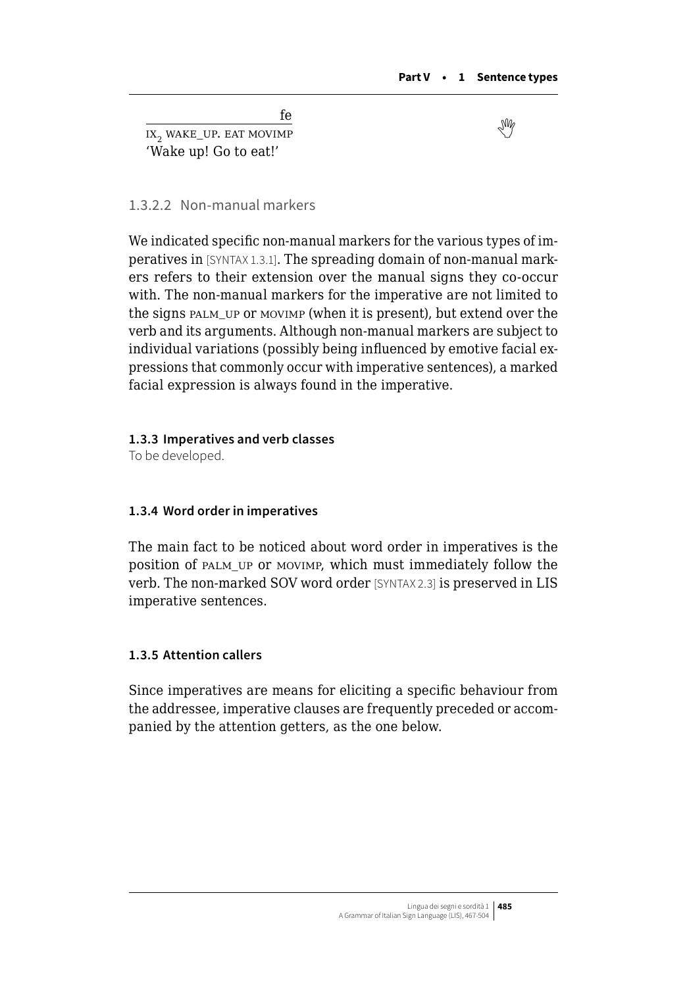fe  $\frac{10}{100}$ wake UP. EAT MOVIMP 'Wake up! Go to eat!'

#### 1.3.2.2 Non-manual markers

We indicated specific non-manual markers for the various types of imperatives in [SYNTAX 1.3.1]. The spreading domain of non-manual markers refers to their extension over the manual signs they co-occur with. The non-manual markers for the imperative are not limited to the signs palm\_up or movimp (when it is present), but extend over the verb and its arguments. Although non-manual markers are subject to individual variations (possibly being influenced by emotive facial expressions that commonly occur with imperative sentences), a marked facial expression is always found in the imperative.

#### **1.3.3 Imperatives and verb classes**

To be developed.

#### **1.3.4 Word order in imperatives**

The main fact to be noticed about word order in imperatives is the position of palm\_up or movimp, which must immediately follow the verb. The non-marked SOV word order [SYNTAX 2.3] is preserved in LIS imperative sentences.

#### **1.3.5 Attention callers**

Since imperatives are means for eliciting a specific behaviour from the addressee, imperative clauses are frequently preceded or accompanied by the attention getters, as the one below.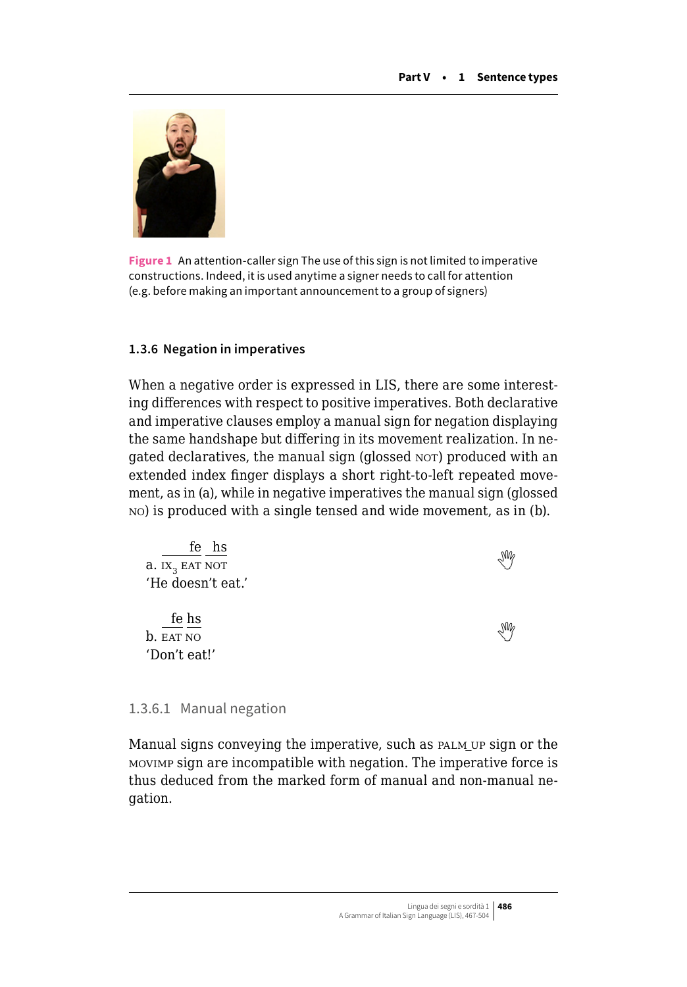

**Figure 1** An attention-caller sign The use of this sign is not limited to imperative constructions. Indeed, it is used anytime a signer needs to call for attention (e.g. before making an important announcement to a group of signers)

#### **1.3.6 Negation in imperatives**

When a negative order is expressed in LIS, there are some interesting differences with respect to positive imperatives. Both declarative and imperative clauses employ a manual sign for negation displaying the same handshape but differing in its movement realization. In negated declaratives, the manual sign (glossed NOT) produced with an extended index finger displays a short right-to-left repeated movement, as in (a), while in negative imperatives the manual sign (glossed no) is produced with a single tensed and wide movement, as in (b).

| fe hs                      | $\mathbb{W}_{\mathcal{C}}$ |
|----------------------------|----------------------------|
| a. IX <sub>3</sub> EAT NOT |                            |
| 'He doesn't eat.'          |                            |
|                            |                            |
| fe hs                      | $\mathbb{W}_{\rho}$        |
| b. EAT NO                  |                            |
| 'Don't eat!'               |                            |

#### 1.3.6.1 Manual negation

Manual signs conveying the imperative, such as PALM UP sign or the movimp sign are incompatible with negation. The imperative force is thus deduced from the marked form of manual and non-manual negation.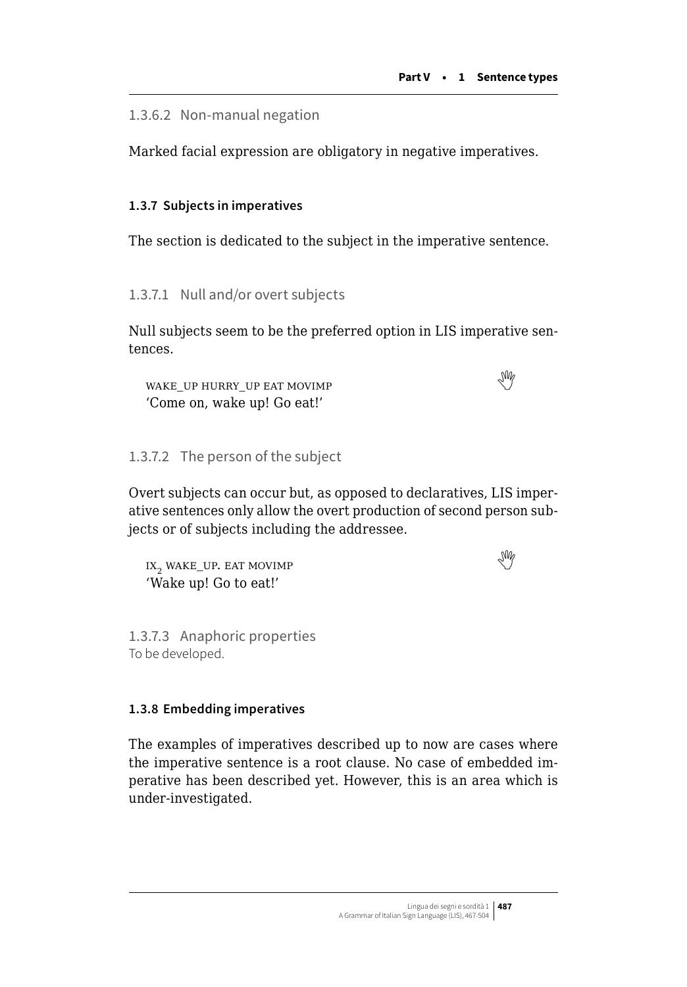<span id="page-20-0"></span>1.3.6.2 Non-manual negation

Marked facial expression are obligatory in negative imperatives.

# **1.3.7 Subjects in imperatives**

The section is dedicated to the subject in the imperative sentence.

1.3.7.1 Null and/or overt subjects

Null subjects seem to be the preferred option in LIS imperative sentences.

wake\_uphurry\_up eat movimp  $$\mathbb{W}$$ 'Come on, wake up! Go eat!'

# 1.3.7.2 The person of the subject

Overt subjects can occur but, as opposed to declaratives, LIS imperative sentences only allow the overt production of second person subjects or of subjects including the addressee.

 $IX_2$ wake\_up. eat movimp 'Wake up! Go to eat!'

1.3.7.3 Anaphoric properties To be developed.

#### **1.3.8 Embedding imperatives**

The examples of imperatives described up to now are cases where the imperative sentence is a root clause. No case of embedded imperative has been described yet. However, this is an area which is under-investigated.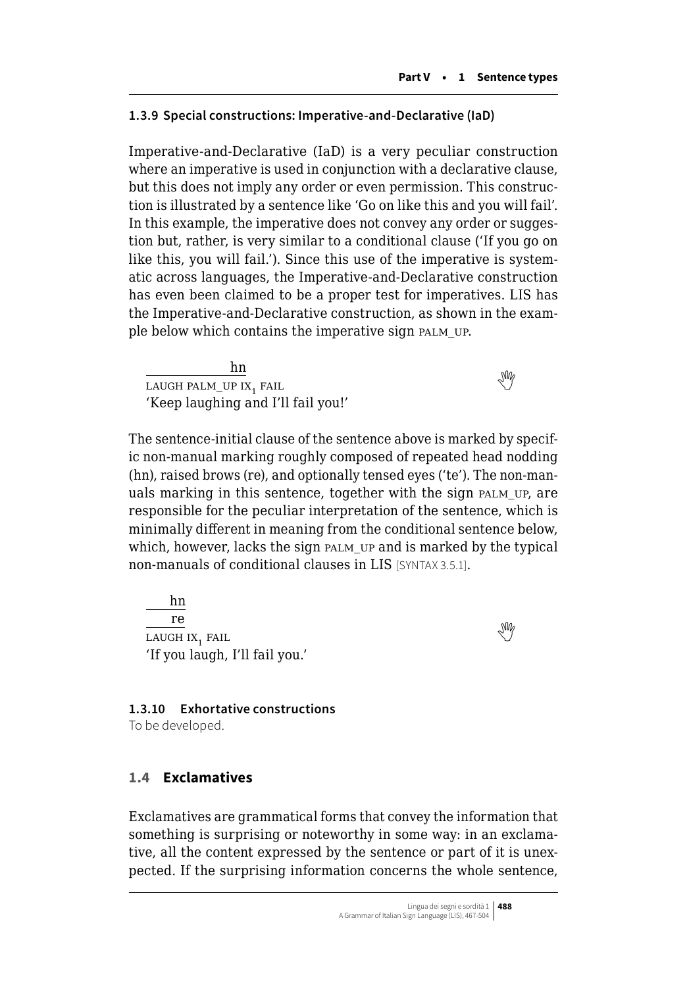#### **1.3.9 Special constructions: Imperative-and-Declarative (IaD)**

Imperative-and-Declarative (IaD) is a very peculiar construction where an imperative is used in conjunction with a declarative clause, but this does not imply any order or even permission. This construction is illustrated by a sentence like 'Go on like this and you will fail'. In this example, the imperative does not convey any order or suggestion but, rather, is very similar to a conditional clause ('If you go on like this, you will fail.'). Since this use of the imperative is systematic across languages, the Imperative-and-Declarative construction has even been claimed to be a proper test for imperatives. LIS has the Imperative-and-Declarative construction, as shown in the example below which contains the imperative sign palm\_up.

hn  $\frac{1}{\text{LAVGH PALM\_UP IX}}$  $\frac{1}{\text{LAVGH PALM\_UP IX}}$  $\frac{1}{\text{LAVGH PALM\_UP IX}}$ , FAIL 'Keep laughing and I'll fail you!'

The sentence-initial clause of the sentence above is marked by specific non-manual marking roughly composed of repeated head nodding (hn), raised brows (re), and optionally tensed eyes ('te'). The non-manuals marking in this sentence, together with the sign palm\_up, are responsible for the peculiar interpretation of the sentence, which is minimally different in meaning from the conditional sentence below, which, however, lacks the sign palm up and is marked by the typical non-manuals of conditional clauses in LIS [SYNTAX 3.5.1].

hn re  $\frac{10}{100}$ is the set of  $\frac{100}{100}$  in  $\frac{100}{100}$  in  $\frac{100}{100}$  in  $\frac{100}{100}$  in  $\frac{100}{100}$  in  $\frac{100}{100}$  in  $\frac{100}{100}$  in  $\frac{100}{100}$  in  $\frac{100}{100}$  in  $\frac{100}{100}$  in  $\frac{100}{100}$  in  $\frac{100$ 'If you laugh, I'll fail you.'

### **1.3.10 Exhortative constructions**

To be developed.

#### **1.4 Exclamatives**

Exclamatives are grammatical forms that convey the information that something is surprising or noteworthy in some way: in an exclamative, all the content expressed by the sentence or part of it is unexpected. If the surprising information concerns the whole sentence,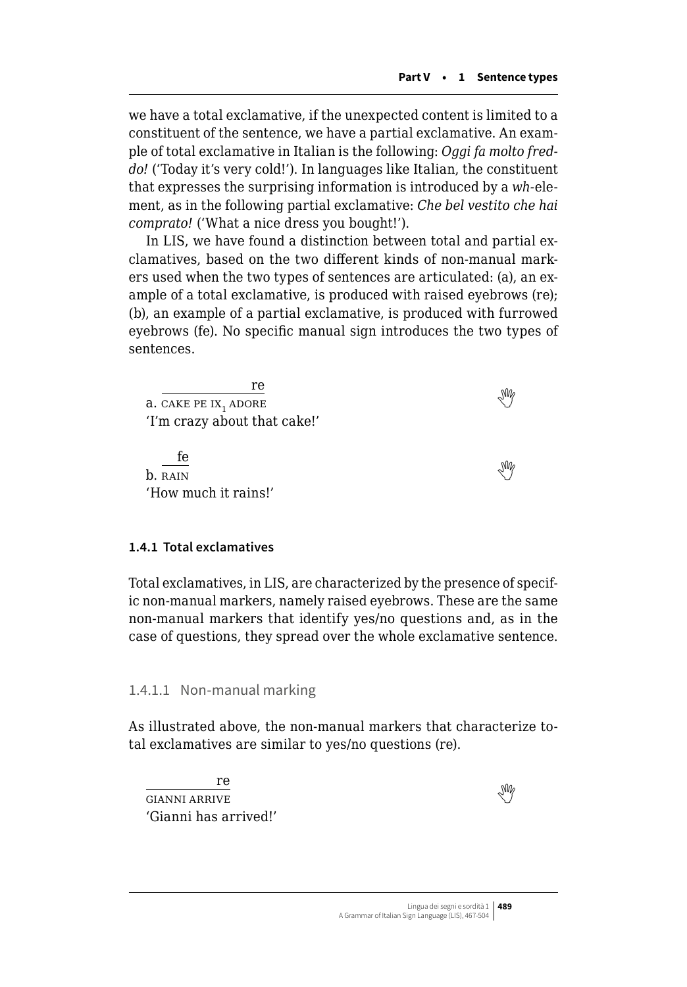we have a total exclamative, if the unexpected content is limited to a constituent of the sentence, we have a partial exclamative. An example of total exclamative in Italian is the following: *Oggi fa molto freddo!* ('Today it's very cold!'). In languages like Italian, the constituent that expresses the surprising information is introduced by a *wh-*element, as in the following partial exclamative: *Che bel vestito che hai comprato!* ('What a nice dress you bought!').

In LIS, we have found a distinction between total and partial exclamatives, based on the two different kinds of non-manual markers used when the two types of sentences are articulated: (a), an example of a total exclamative, is produced with raised eyebrows (re); (b), an example of a partial exclamative, is produced with furrowed eyebrows (fe). No specific manual sign introduces the two types of sentences.

re a.CAKE PE IX, ADORE 'I'm crazy about that cake!' fe  $\frac{1}{100}$ b. RAIN 'How much it rains!'

#### **1.4.1 Total exclamatives**

Total exclamatives, in LIS, are characterized by the presence of specific non-manual markers, namely raised eyebrows. These are the same non-manual markers that identify yes/no questions and, as in the case of questions, they spread over the whole exclamative sentence.

1.4.1.1 Non-manual marking

As illustrated above, the non-manual markers that characterize total exclamatives are similar to yes/no questions (re).

re GIANNIARRIVE 'Gianni has arrived!'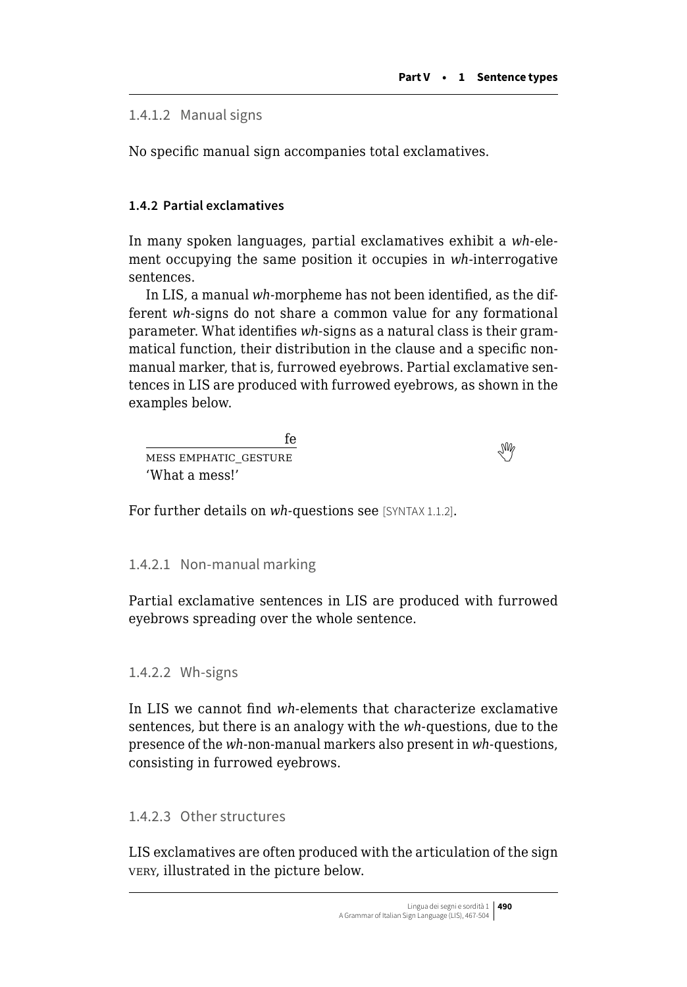<span id="page-23-0"></span>1.4.1.2 Manual signs

No specific manual sign accompanies total exclamatives.

# **1.4.2 Partial exclamatives**

In many spoken languages, partial exclamatives exhibit a *wh*-element occupying the same position it occupies in *wh-*interrogative sentences.

In LIS, a manual *wh-*morpheme has not been identified, as the different *wh-*signs do not share a common value for any formational parameter. What identifies *wh-*signs as a natural class is their grammatical function, their distribution in the clause and a specific nonmanual marker, that is, furrowed eyebrows. Partial exclamative sentences in LIS are produced with furrowed eyebrows, as shown in the examples below.

fe <u>messemphatic gesture</u> 'What a mess!'

For further details on *wh*-questions see [SYNTAX 1.1.2].

# 1.4.2.1 Non-manual marking

Partial exclamative sentences in LIS are produced with furrowed eyebrows spreading over the whole sentence.

#### 1.4.2.2 Wh-signs

In LIS we cannot find *wh-*elements that characterize exclamative sentences, but there is an analogy with the *wh-*questions, due to the presence of the *wh-*non-manual markers also present in *wh-*questions, consisting in furrowed eyebrows.

#### 1.4.2.3 Other structures

LIS exclamatives are often produced with the articulation of the sign very, illustrated in the picture below.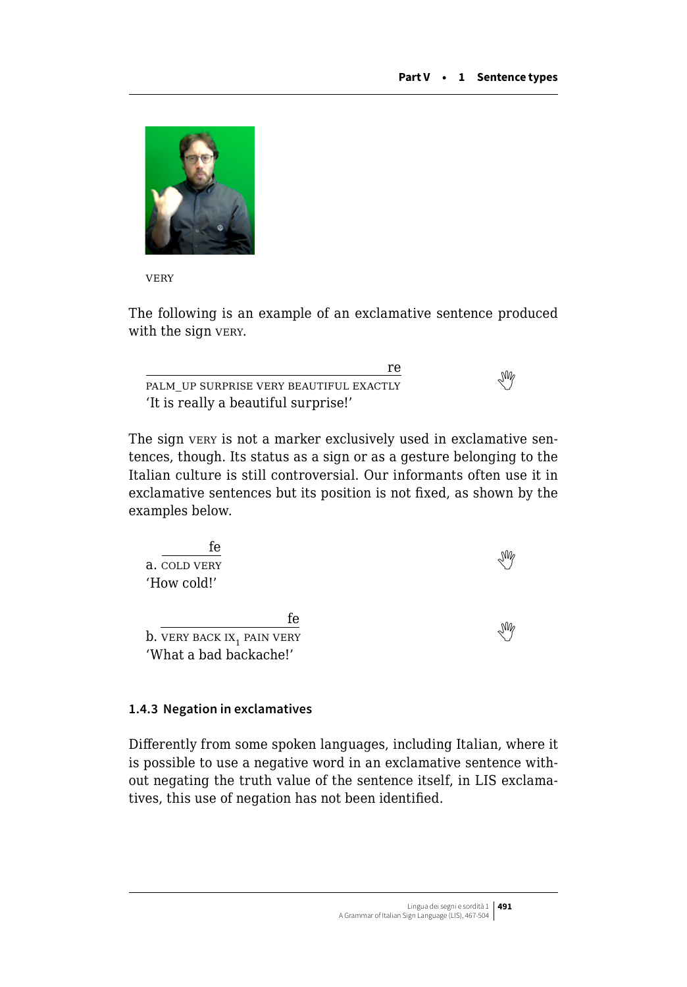

**VERY** 

The following is an example of an exclamative sentence produced with the sign very.

re  $\overline{p}$ PALM\_UPSURPRISE VERY BEAUTIFUL EXACTLY 'It is really a beautiful surprise!'

The sign very is not a marker exclusively used in exclamative sentences, though. Its status as a sign or as a gesture belonging to the Italian culture is still controversial. Our informants often use it in exclamative sentences but its position is not fixed, as shown by the examples below.

| fe                                            |  |
|-----------------------------------------------|--|
| a. COLD VERY                                  |  |
| 'How cold!'                                   |  |
|                                               |  |
| fe                                            |  |
| <b>b.</b> VERY BACK IX <sub>1</sub> PAIN VERY |  |
| 'What a bad backache!'                        |  |

#### **1.4.3 Negation in exclamatives**

Differently from some spoken languages, including Italian, where it is possible to use a negative word in an exclamative sentence without negating the truth value of the sentence itself, in LIS exclamatives, this use of negation has not been identified.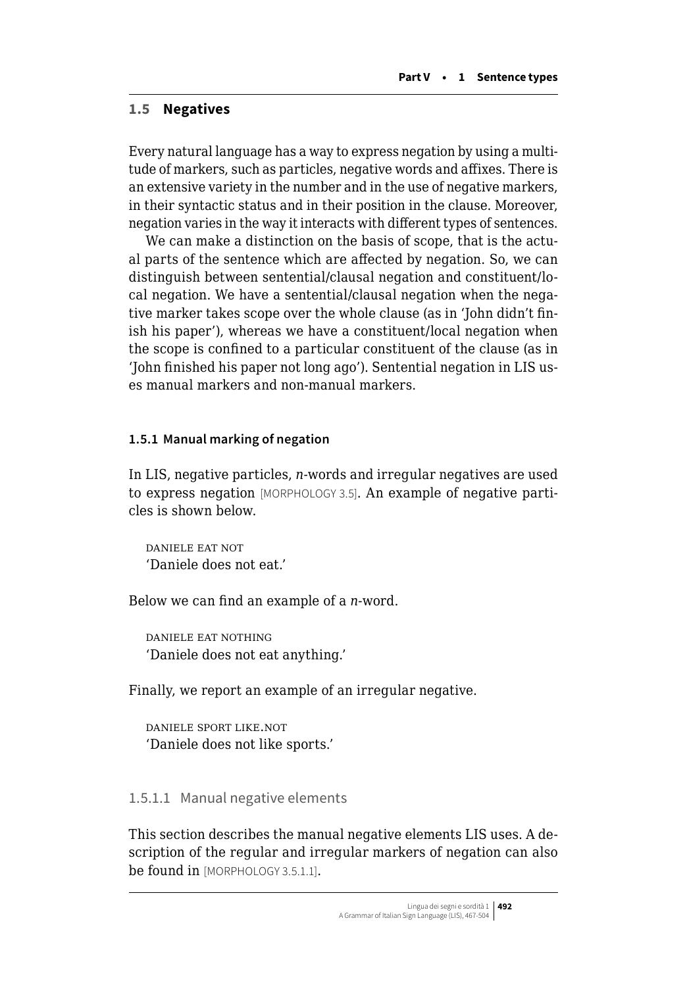### **1.5 Negatives**

Every natural language has a way to express negation by using a multitude of markers, such as particles, negative words and affixes. There is an extensive variety in the number and in the use of negative markers, in their syntactic status and in their position in the clause. Moreover, negation varies in the way it interacts with different types of sentences.

We can make a distinction on the basis of scope, that is the actual parts of the sentence which are affected by negation. So, we can distinguish between sentential/clausal negation and constituent/local negation. We have a sentential/clausal negation when the negative marker takes scope over the whole clause (as in 'John didn't finish his paper'), whereas we have a constituent/local negation when the scope is confined to a particular constituent of the clause (as in 'John finished his paper not long ago'). Sentential negation in LIS uses manual markers and non-manual markers.

#### **1.5.1 Manual marking of negation**

In LIS, negative particles, *n-*words and irregular negatives are used to express negation [MORPHOLOGY 3.5]. An example of negative particles is shown below.

daniele eat not 'Daniele does not eat.'

Below we can find an example of a *n-*word.

daniele eat nothing 'Daniele does not eat anything.'

Finally, we report an example of an irregular negative.

daniele sport like.not 'Daniele does not like sports.'

#### 1.5.1.1 Manual negative elements

This section describes the manual negative elements LIS uses. A description of the regular and irregular markers of negation can also be found in [MORPHOLOGY 3.5.1.1].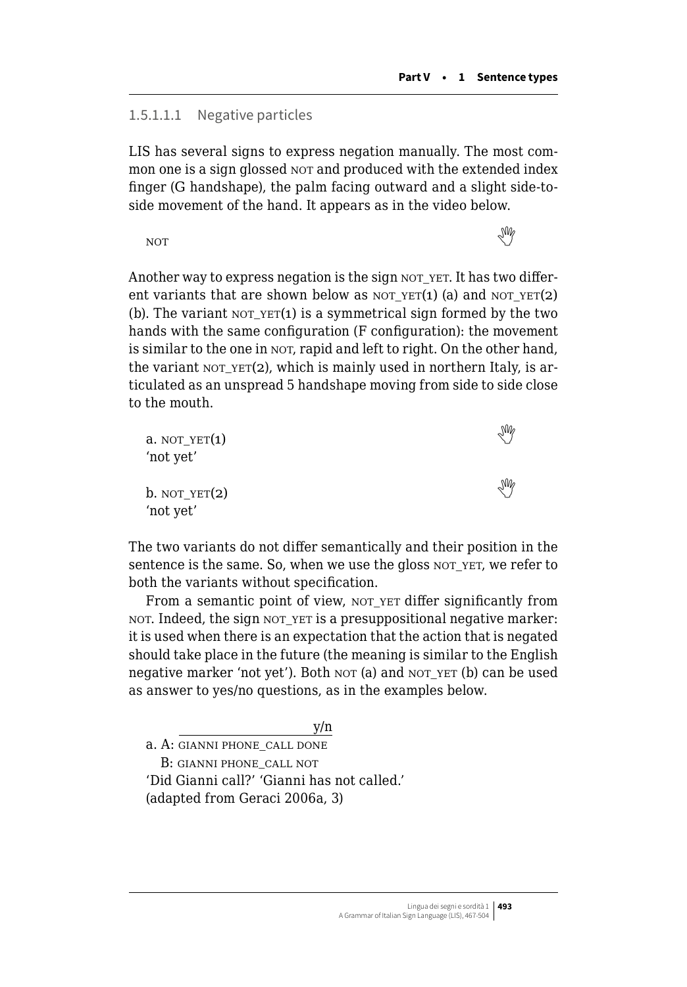### 1.5.1.1.1 Negative particles

LIS has several signs to express negation manually. The most common one is a sign glossed NOT and produced with the extended index finger (G handshape), the palm facing outward and a slight side-toside movement of the hand. It appears as in the video below.

notthe contract of the contract of the contract of the contract of the contract of the contract of the contract of the contract of the contract of the contract of the contract of the contract of the contract of the contra

Another way to express negation is the sign NOT\_YET. It has two different variants that are shown below as not  $YET(1)$  (a) and not  $YET(2)$ (b). The variant  $NOT_YET(1)$  is a symmetrical sign formed by the two hands with the same configuration (F configuration): the movement is similar to the one in NOT, rapid and left to right. On the other hand, the variant nor  $YET(2)$ , which is mainly used in northern Italy, is articulated as an unspread 5 handshape moving from side to side close to the mouth.

| $a. NOT_YET(1)$<br>'not yet' | M |  |
|------------------------------|---|--|
| $b. NOT_YET(2)$<br>'not yet' | M |  |

The two variants do not differ semantically and their position in the sentence is the same. So, when we use the gloss not yet, we refer to both the variants without specification.

From a semantic point of view, NOT\_YET differ significantly from not. Indeed, the sign not\_yet is a presuppositional negative marker: it is used when there is an expectation that the action that is negated should take place in the future (the meaning is similar to the English negative marker 'not yet'). Both nor (a) and not yet (b) can be used as answer to yes/no questions, as in the examples below.

a. A: GIANNI PHONE CALL DONE

B: GIANNI PHONE CALL NOT

'Did Gianni call?' 'Gianni has not called.' (adapted from Geraci 2006a, 3)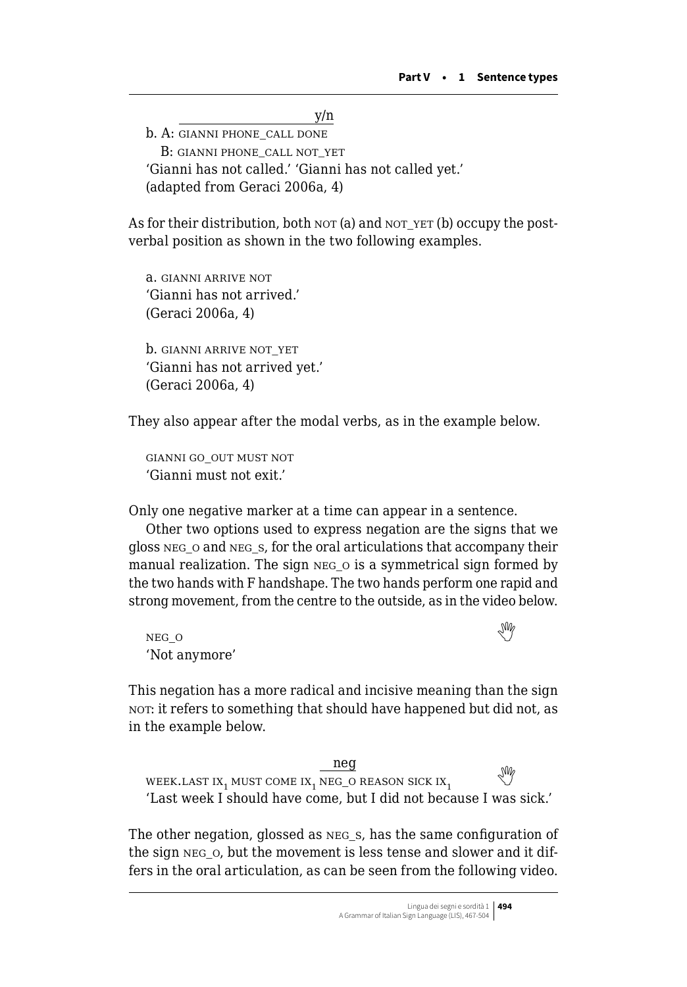y/n b. A: GIANNI PHONE\_CALL DONE B: gianni phone\_call not\_yet 'Gianni has not called.' 'Gianni has not called yet.' (adapted from Geraci 2006a, 4)

As for their distribution, both  $NOT$  (a) and  $NOT$   $YET$  (b) occupy the postverbal position as shown in the two following examples.

a. gianni arrive not 'Gianni has not arrived.' (Geraci 2006a, 4) b. GIANNI ARRIVE NOT YET 'Gianni has not arrived yet.'

They also appear after the modal verbs, as in the example below.

gianni go\_out must not 'Gianni must not exit.'

(Geraci 2006a, 4)

Only one negative marker at a time can appear in a sentence.

Other two options used to express negation are the signs that we gloss neg\_o and neg\_s, for the oral articulations that accompany their manual realization. The sign NEG o is a symmetrical sign formed by the two hands with F handshape. The two hands perform one rapid and strong movement, from the centre to the outside, as in the video below.

neg\_<sup>o</sup>  'Not anymore'

This negation has a more radical and incisive meaning than the sign not: it refers to something that should have happened but did not, as in the example below.

neg WEEK.LASTIX, MUST COME IX, NEG\_O REASON SICK  $IX_1$ 'Last week I should have come, but I did not because I was sick.'

The other negation, glossed as neg\_s, has the same configuration of the sign neg\_o, but the movement is less tense and slower and it differs in the oral articulation, as can be seen from the following video.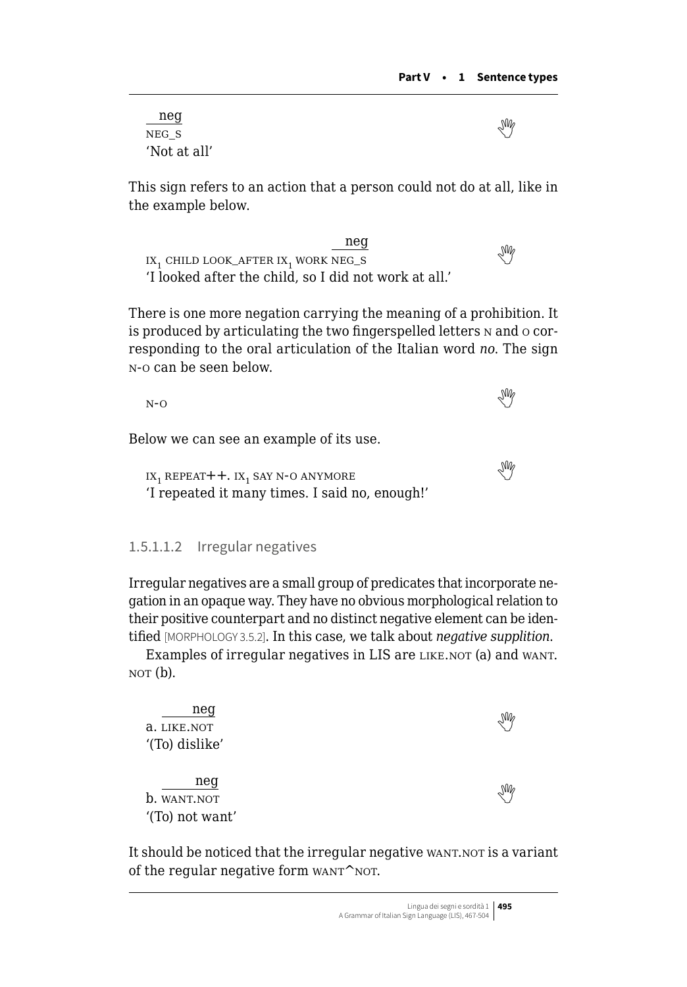neg negs 'Not at all'

This sign refers to an action that a person could not do at all, like in the example below.

neg  $\frac{mg}{mg}$ <br>IX<sub>1</sub>CHILD LOOK\_AFTER IX<sub>1</sub> WORK NEG\_S 'I looked after the child, so I did not work at all.'

There is one more negation carrying the meaning of a prohibition. It is produced by articulating the two fingerspelled letters n and o corresponding to the oral articulation of the Italian word *no*. The sign n-o can be seen below.

n-o 

Below we can see an example of its use.

 $IX_1$ REPEAT+ +.  $IX_1$  SAY N-O ANYMORE 'I repeated it many times. I said no, enough!'

#### 1.5.1.1.2 Irregular negatives

Irregular negatives are a small group of predicates that incorporate negation in an opaque way. They have no obvious morphological relation to their positive counterpart and no distinct negative element can be identified [MORPHOLOGY 3.5.2]. In this case, we talk about *negative supplition*.

Examples of irregular negatives in LIS are LIKE.NOT (a) and WANT.  $NOT(b).$ 

| neg             | $\sqrt{\frac{2}{3}}$ |
|-----------------|----------------------|
| a. LIKE.NOT     |                      |
| '(To) dislike'  |                      |
|                 |                      |
| neg             |                      |
| b. WANT.NOT     | $\sqrt{\frac{2}{3}}$ |
| '(To) not want' |                      |

It should be noticed that the irregular negative want.not is a variant of the regular negative form  $WANT^NNOT$ .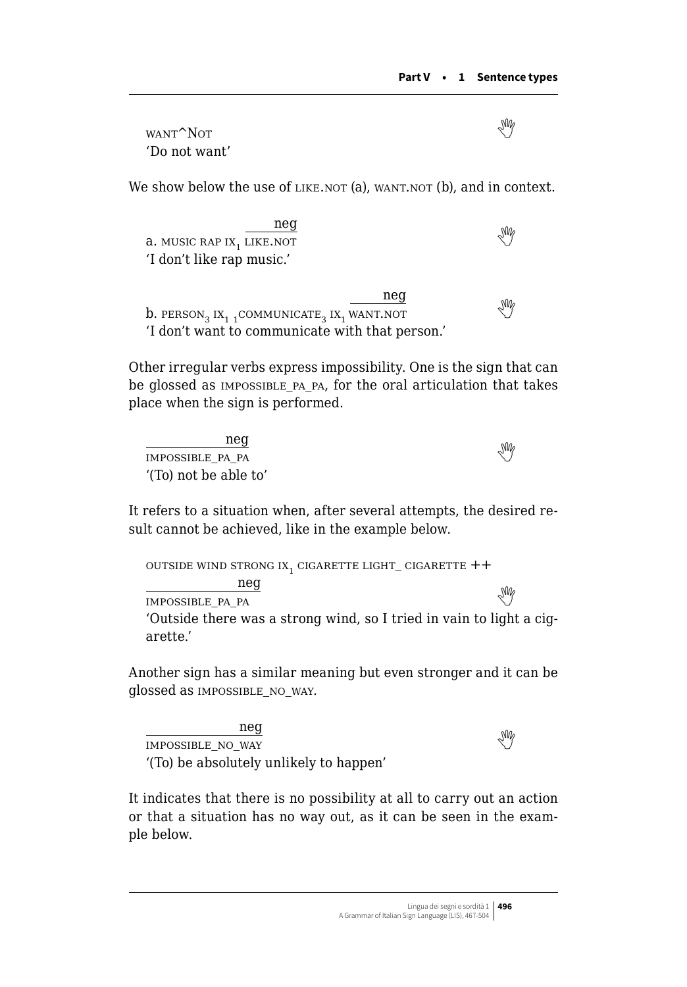want<sup>^</sup>Not 'Do not want'

We show below the use of LIKE.NOT (a), WANT.NOT (b), and in context.

neg a.MUSIC RAP IX, LIKE.NOT 'I don't like rap music.'

neg  $b.$ person<sub>3</sub> ix<sub>1</sub> 1communicate<sub>3</sub> ix<sub>1</sub> want.not 'I don't want to communicate with that person.'

Other irregular verbs express impossibility. One is the sign that can be glossed as impossible\_pa\_pa, for the oral articulation that takes place when the sign is performed.

neg impossiblepara and the set of the set of the set of the set of the set of the set of the set of the set of the set of the set of the set of the set of the set of the set of the set of the set of the set of the set of the '(To) not be able to'

It refers to a situation when, after several attempts, the desired result cannot be achieved, like in the example below.

OUTSIDE WIND STRONG IX<sub>1</sub> CIGARETTE LIGHT\_ CIGARETTE  $++$  neg impossible\_pa\_pa\_ 'Outside there was a strong wind, so I tried in vain to light a cigarette.'

Another sign has a similar meaning but even stronger and it can be glossed as impossible\_no\_way.

neg impossibleno way '(To) be absolutely unlikely to happen'

It indicates that there is no possibility at all to carry out an action or that a situation has no way out, as it can be seen in the example below.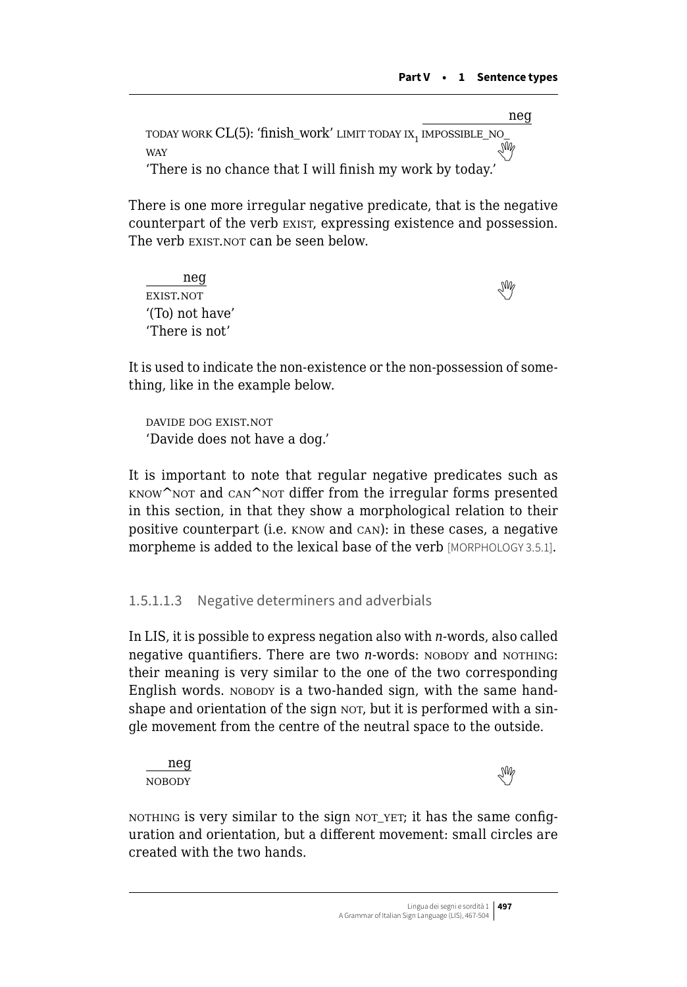neg today work CL(5): 'finish\_work' limit today ix1 impossible\_no\_ way 'There is no chance that I will finish my work by today.'

There is one more irregular negative predicate, that is the negative

counterpart of the verb exist, expressing existence and possession. The verb EXIST.NOT can be seen below.

neg <u>exist.not</u> '(To) not have' 'There is not'

It is used to indicate the non-existence or the non-possession of something, like in the example below.

davide dog exist.not 'Davide does not have a dog.'

It is important to note that regular negative predicates such as  $KNOW^{\wedge}$  NOT and CAN $^{\wedge}$ NOT differ from the irregular forms presented in this section, in that they show a morphological relation to their positive counterpart (i.e. know and can): in these cases, a negative morpheme is added to the lexical base of the verb [MORPHOLOGY 3.5.1].

# 1.5.1.1.3 Negative determiners and adverbials

In LIS, it is possible to express negation also with *n-*words, also called negative quantifiers. There are two *n*-words: NOBODY and NOTHING: their meaning is very similar to the one of the two corresponding English words. NOBODY is a two-handed sign, with the same handshape and orientation of the sign NOT, but it is performed with a single movement from the centre of the neutral space to the outside.



NOTHING is very similar to the sign NOT\_YET; it has the same configuration and orientation, but a different movement: small circles are created with the two hands.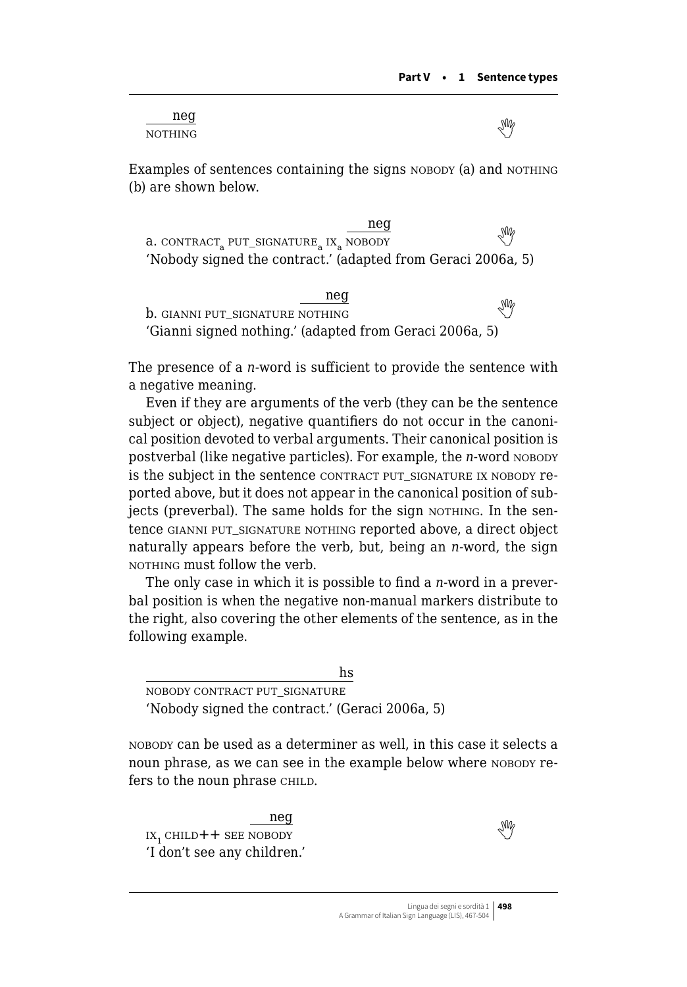| neq            | M |
|----------------|---|
| <b>NOTHING</b> | ◡ |

Examples of sentences containing the signs NOBODY (a) and NOTHING (b) are shown below.

neg  $a.$ contract, put\_signature,  $\frac{mg}{m}$  nobody 'Nobody signed the contract.' (adapted from Geraci 2006a, 5)

neg b.gianni put\_signature nothing the set of  $\mathbb{M}$ 'Gianni signed nothing.' (adapted from Geraci 2006a, 5)

The presence of a *n-*word is sufficient to provide the sentence with a negative meaning.

Even if they are arguments of the verb (they can be the sentence subject or object), negative quantifiers do not occur in the canonical position devoted to verbal arguments. Their canonical position is postverbal (like negative particles). For example, the *n*-word NOBODY is the subject in the sentence CONTRACT PUT SIGNATURE IX NOBODY reported above, but it does not appear in the canonical position of subjects (preverbal). The same holds for the sign NOTHING. In the sentence GIANNI PUT SIGNATURE NOTHING reported above, a direct object naturally appears before the verb, but, being an *n-*word, the sign NOTHING must follow the verb.

The only case in which it is possible to find a *n-*word in a preverbal position is when the negative non-manual markers distribute to the right, also covering the other elements of the sentence, as in the following example.

hs nobody contract put\_signature 'Nobody signed the contract.' (Geraci 2006a, 5)

nobody can be used as a determiner as well, in this case it selects a noun phrase, as we can see in the example below where NOBODY refers to the noun phrase CHILD.

neg  $IX_1$ child  $++$  see nobody 'I don't see any children.'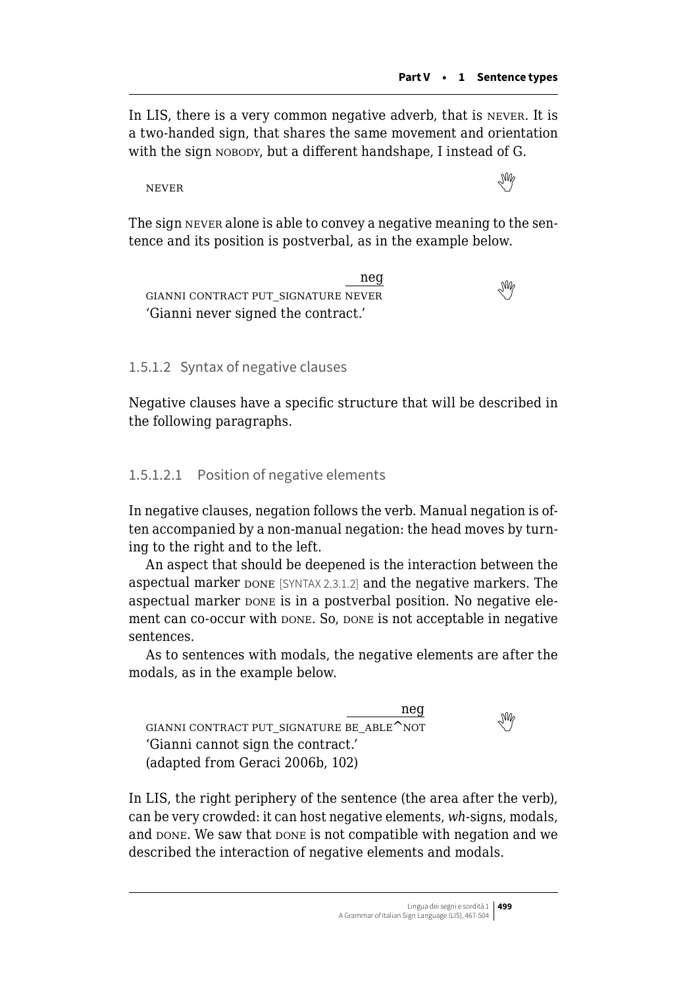In LIS, there is a very common negative adverb, that is never. It is a two-handed sign, that shares the same movement and orientation with the sign NOBODY, but a different handshape, I instead of G.

NEVERWE ARE A THREE CONTROL OF THE CONTROL OF THE CONTROL OF THE CONTROL OF THE CONTROL OF THE CONTROL OF THE CONTROL OF THE CONTROL OF THE CONTROL OF THE CONTROL OF THE CONTROL OF THE CONTROL OF THE CONTROL OF THE CONTRO

The sign never alone is able to convey a negative meaning to the sentence and its position is postverbal, as in the example below.

neg gianni contract put\_signature never  'Gianni never signed the contract.'

1.5.1.2 Syntax of negative clauses

Negative clauses have a specific structure that will be described in the following paragraphs.

#### 1.5.1.2.1 Position of negative elements

In negative clauses, negation follows the verb. Manual negation is often accompanied by a non-manual negation: the head moves by turning to the right and to the left.

An aspect that should be deepened is the interaction between the aspectual marker pone [SYNTAX 2.3.1.2] and the negative markers. The aspectual marker pone is in a postverbal position. No negative element can co-occur with  $D$ <sub>DNE</sub>. So,  $D$ <sub>DNE</sub> is not acceptable in negative sentences.

As to sentences with modals, the negative elements are after the modals, as in the example below.



In LIS, the right periphery of the sentence (the area after the verb), can be very crowded: it can host negative elements, *wh-*signs, modals, and DONE. We saw that DONE is not compatible with negation and we described the interaction of negative elements and modals.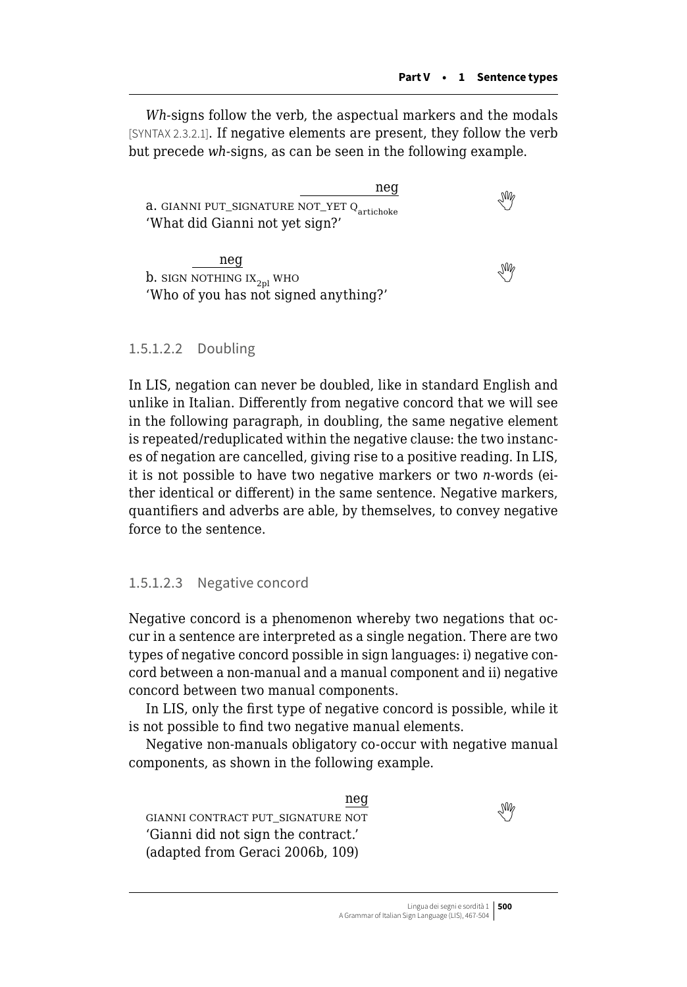*Wh-*signs follow the verb, the aspectual markers and the modals [SYNTAX 2.3.2.1]. If negative elements are present, they follow the verb but precede *wh-*signs, as can be seen in the following example.

neg **a.**GIANNI PUT\_SIGNATURE NOT\_YET  $Q_{\text{artichake}}$ 'What did Gianni not yet sign?' neg **b.**sign nothing  $\mathbf{x}_{2n}$  who

'Who of you has not signed anything?'

#### 1.5.1.2.2 Doubling

In LIS, negation can never be doubled, like in standard English and unlike in Italian. Differently from negative concord that we will see in the following paragraph, in doubling, the same negative element is repeated/reduplicated within the negative clause: the two instances of negation are cancelled, giving rise to a positive reading. In LIS, it is not possible to have two negative markers or two *n-*words (either identical or different) in the same sentence. Negative markers, quantifiers and adverbs are able, by themselves, to convey negative force to the sentence.

#### 1.5.1.2.3 Negative concord

Negative concord is a phenomenon whereby two negations that occur in a sentence are interpreted as a single negation. There are two types of negative concord possible in sign languages: i) negative concord between a non-manual and a manual component and ii) negative concord between two manual components.

In LIS, only the first type of negative concord is possible, while it is not possible to find two negative manual elements.

Negative non-manuals obligatory co-occur with negative manual components, as shown in the following example.

neg GIANNICONTRACT PUT\_SIGNATURE NOT 'Gianni did not sign the contract.' (adapted from Geraci 2006b, 109)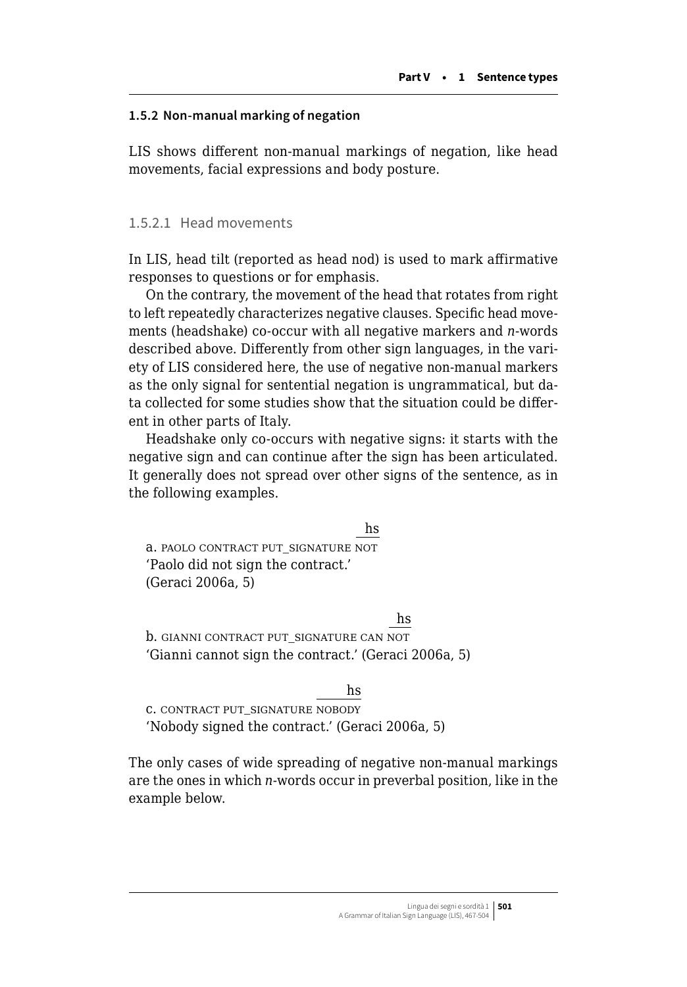#### **1.5.2 Non-manual marking of negation**

LIS shows different non-manual markings of negation, like head movements, facial expressions and body posture.

#### 1.5.2.1 Head movements

In LIS, head tilt (reported as head nod) is used to mark affirmative responses to questions or for emphasis.

On the contrary, the movement of the head that rotates from right to left repeatedly characterizes negative clauses. Specific head movements (headshake) co-occur with all negative markers and *n*-words described above. Differently from other sign languages, in the variety of LIS considered here, the use of negative non-manual markers as the only signal for sentential negation is ungrammatical, but data collected for some studies show that the situation could be different in other parts of Italy.

Headshake only co-occurs with negative signs: it starts with the negative sign and can continue after the sign has been articulated. It generally does not spread over other signs of the sentence, as in the following examples.

hs

a. PAOLO CONTRACT PUT\_SIGNATURE NOT 'Paolo did not sign the contract.' (Geraci 2006a, 5)

#### hs

b. GIANNI CONTRACT PUT\_SIGNATURE CAN NOT 'Gianni cannot sign the contract.' (Geraci 2006a, 5)

hs

c. contract put\_signature nobody 'Nobody signed the contract.' (Geraci 2006a, 5)

The only cases of wide spreading of negative non-manual markings are the ones in which *n-*words occur in preverbal position, like in the example below.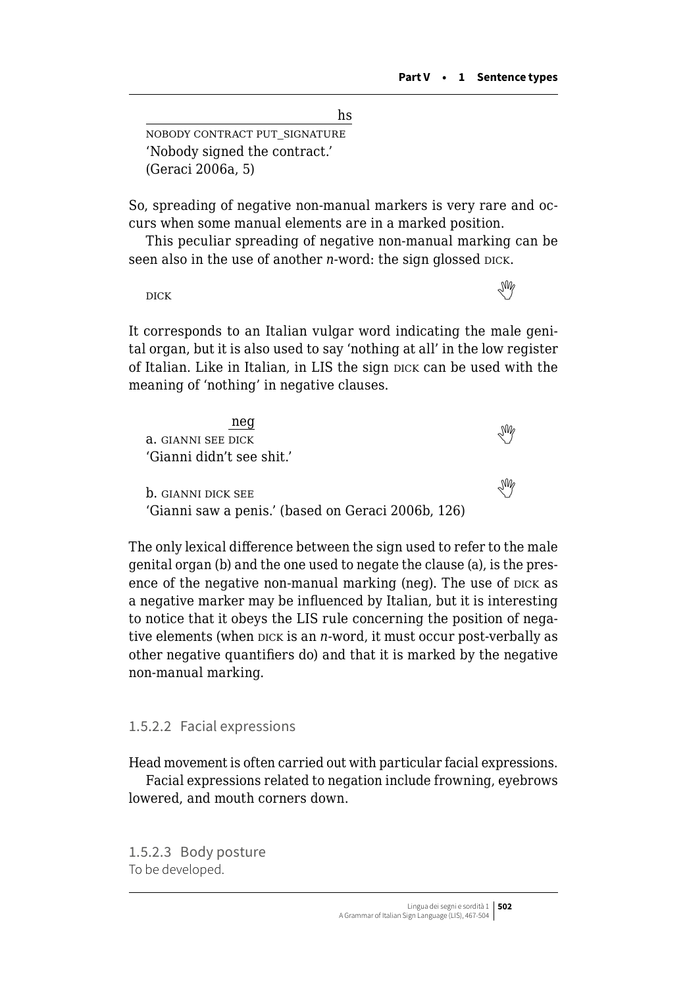hs

nobody contract put\_signature 'Nobody signed the contract.' (Geraci 2006a, 5)

So, spreading of negative non-manual markers is very rare and occurs when some manual elements are in a marked position.

This peculiar spreading of negative non-manual marking can be seen also in the use of another *n*-word: the sign glossed DICK.

dickthe contract of the contract of the contract of the contract of the contract of the contract of the contract of the contract of the contract of the contract of the contract of the contract of the contract of the contr

It corresponds to an Italian vulgar word indicating the male genital organ, but it is also used to say 'nothing at all' in the low register of Italian. Like in Italian, in LIS the sign dick can be used with the meaning of 'nothing' in negative clauses.

| neg                                                |  |
|----------------------------------------------------|--|
| a. GIANNI SEE DICK                                 |  |
| 'Gianni didn't see shit.'                          |  |
|                                                    |  |
| <b>b.</b> GIANNI DICK SEE                          |  |
| 'Gianni saw a penis.' (based on Geraci 2006b, 126) |  |

The only lexical difference between the sign used to refer to the male genital organ (b) and the one used to negate the clause (a), is the presence of the negative non-manual marking (neg). The use of pick as a negative marker may be influenced by Italian, but it is interesting to notice that it obeys the LIS rule concerning the position of negative elements (when pick is an *n*-word, it must occur post-verbally as other negative quantifiers do) and that it is marked by the negative non-manual marking.

#### 1.5.2.2 Facial expressions

Head movement is often carried out with particular facial expressions.

Facial expressions related to negation include frowning, eyebrows lowered, and mouth corners down.

1.5.2.3 Body posture To be developed.